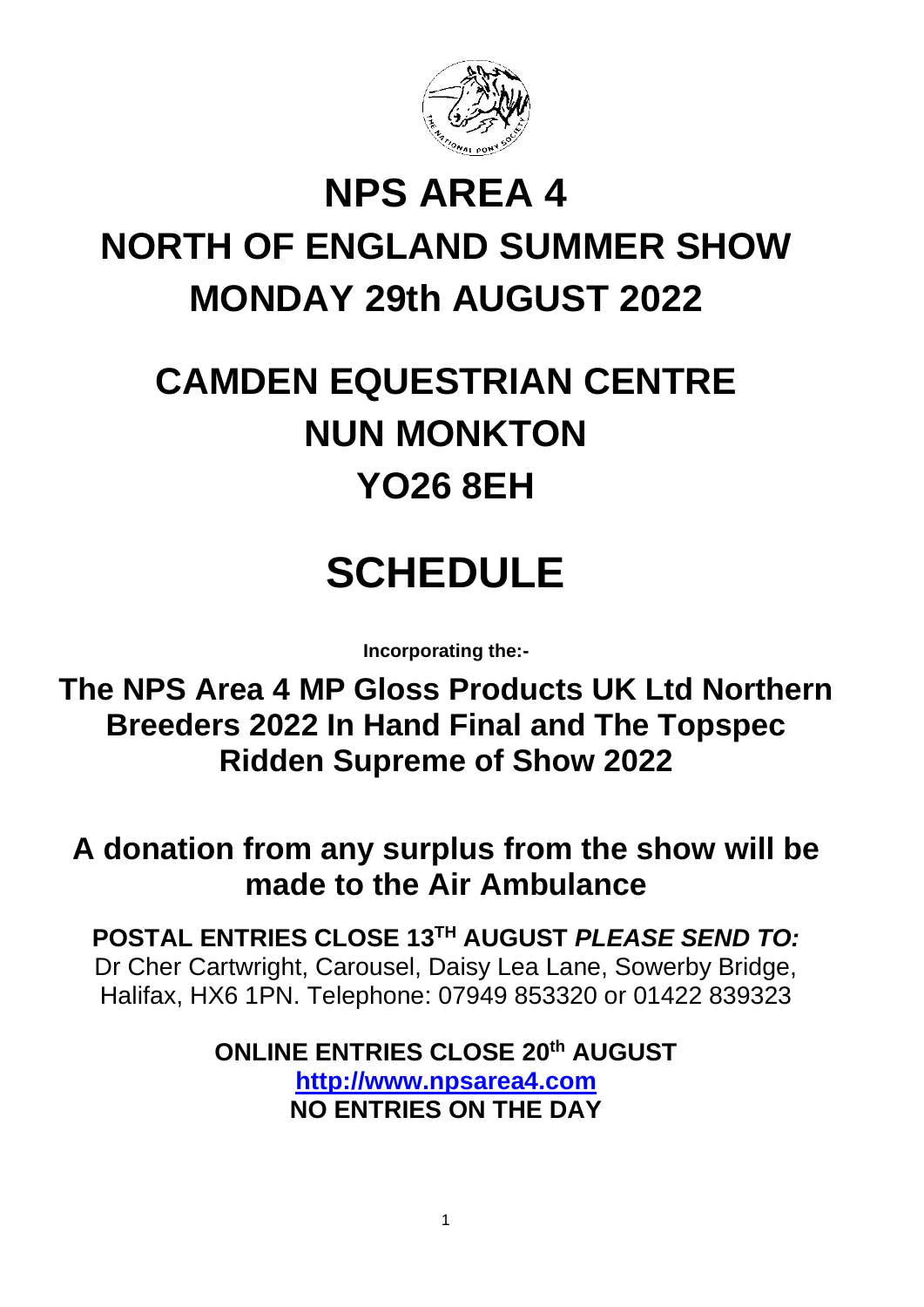

# **NPS AREA 4 NORTH OF ENGLAND SUMMER SHOW MONDAY 29th AUGUST 2022**

# **CAMDEN EQUESTRIAN CENTRE NUN MONKTON YO26 8EH**

# **SCHEDULE**

**Incorporating the:-**

**The NPS Area 4 MP Gloss Products UK Ltd Northern Breeders 2022 In Hand Final and The Topspec Ridden Supreme of Show 2022**

**A donation from any surplus from the show will be made to the Air Ambulance**

**POSTAL ENTRIES CLOSE 13 TH AUGUST** *PLEASE SEND TO:* Dr Cher Cartwright, Carousel, Daisy Lea Lane, Sowerby Bridge, Halifax, HX6 1PN. Telephone: 07949 853320 or 01422 839323

> **ONLINE ENTRIES CLOSE 20 th AUGUST [http://www.npsarea4.com](http://www.npsarea4.com/) NO ENTRIES ON THE DAY**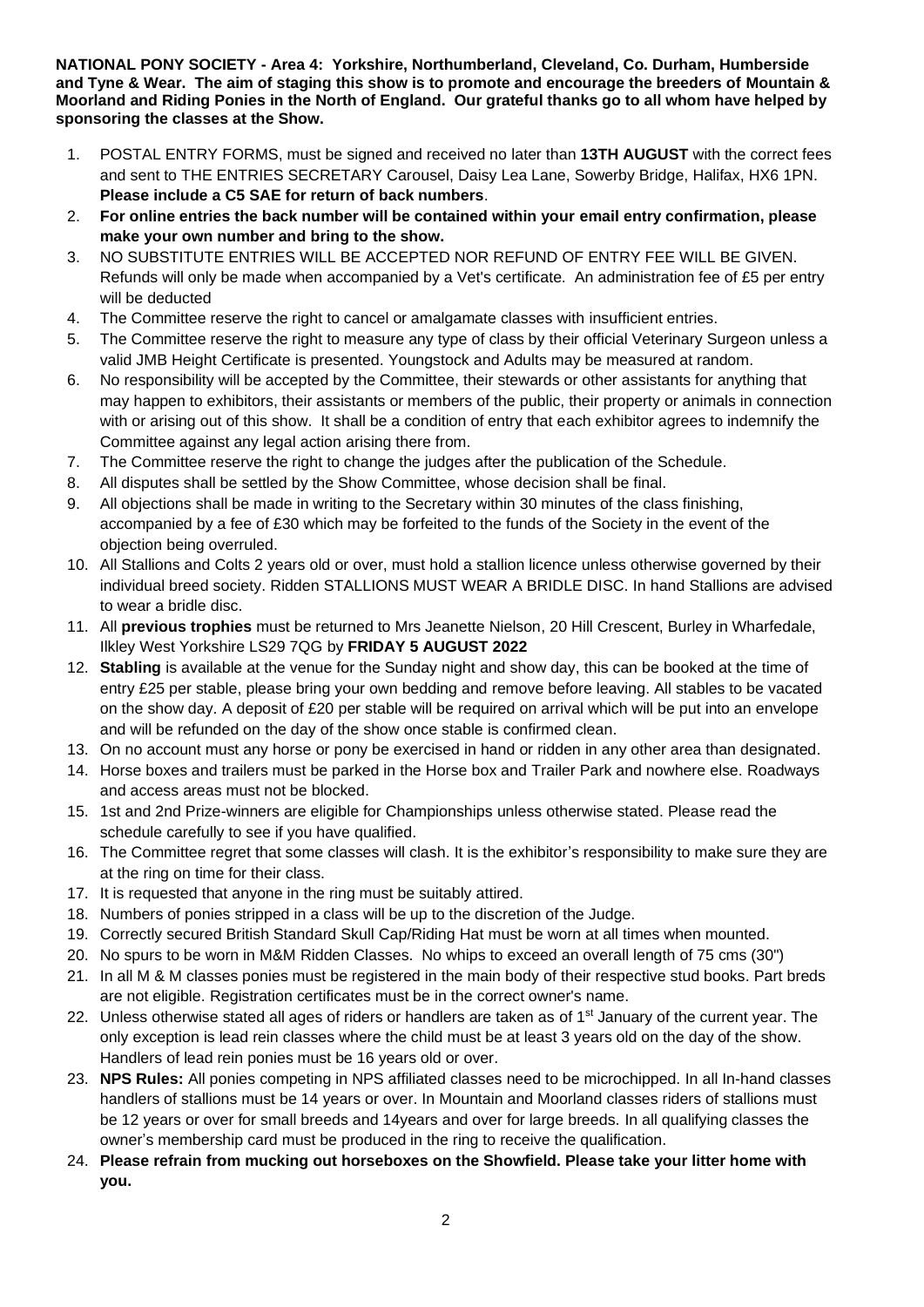**NATIONAL PONY SOCIETY - Area 4: Yorkshire, Northumberland, Cleveland, Co. Durham, Humberside and Tyne & Wear. The aim of staging this show is to promote and encourage the breeders of Mountain & Moorland and Riding Ponies in the North of England. Our grateful thanks go to all whom have helped by sponsoring the classes at the Show.**

- 1. POSTAL ENTRY FORMS, must be signed and received no later than **13TH AUGUST** with the correct fees and sent to THE ENTRIES SECRETARY Carousel, Daisy Lea Lane, Sowerby Bridge, Halifax, HX6 1PN. **Please include a C5 SAE for return of back numbers**.
- 2. **For online entries the back number will be contained within your email entry confirmation, please make your own number and bring to the show.**
- 3. NO SUBSTITUTE ENTRIES WILL BE ACCEPTED NOR REFUND OF ENTRY FEE WILL BE GIVEN. Refunds will only be made when accompanied by a Vet's certificate. An administration fee of £5 per entry will be deducted
- 4. The Committee reserve the right to cancel or amalgamate classes with insufficient entries.
- 5. The Committee reserve the right to measure any type of class by their official Veterinary Surgeon unless a valid JMB Height Certificate is presented. Youngstock and Adults may be measured at random.
- 6. No responsibility will be accepted by the Committee, their stewards or other assistants for anything that may happen to exhibitors, their assistants or members of the public, their property or animals in connection with or arising out of this show. It shall be a condition of entry that each exhibitor agrees to indemnify the Committee against any legal action arising there from.
- 7. The Committee reserve the right to change the judges after the publication of the Schedule.
- 8. All disputes shall be settled by the Show Committee, whose decision shall be final.
- 9. All objections shall be made in writing to the Secretary within 30 minutes of the class finishing, accompanied by a fee of £30 which may be forfeited to the funds of the Society in the event of the objection being overruled.
- 10. All Stallions and Colts 2 years old or over, must hold a stallion licence unless otherwise governed by their individual breed society. Ridden STALLIONS MUST WEAR A BRIDLE DISC. In hand Stallions are advised to wear a bridle disc.
- 11. All **previous trophies** must be returned to Mrs Jeanette Nielson, 20 Hill Crescent, Burley in Wharfedale, Ilkley West Yorkshire LS29 7QG by **FRIDAY 5 AUGUST 2022**
- 12. **Stabling** is available at the venue for the Sunday night and show day, this can be booked at the time of entry £25 per stable, please bring your own bedding and remove before leaving. All stables to be vacated on the show day. A deposit of £20 per stable will be required on arrival which will be put into an envelope and will be refunded on the day of the show once stable is confirmed clean.
- 13. On no account must any horse or pony be exercised in hand or ridden in any other area than designated.
- 14. Horse boxes and trailers must be parked in the Horse box and Trailer Park and nowhere else. Roadways and access areas must not be blocked.
- 15. 1st and 2nd Prize-winners are eligible for Championships unless otherwise stated. Please read the schedule carefully to see if you have qualified.
- 16. The Committee regret that some classes will clash. It is the exhibitor's responsibility to make sure they are at the ring on time for their class.
- 17. It is requested that anyone in the ring must be suitably attired.
- 18. Numbers of ponies stripped in a class will be up to the discretion of the Judge.
- 19. Correctly secured British Standard Skull Cap/Riding Hat must be worn at all times when mounted.
- 20. No spurs to be worn in M&M Ridden Classes. No whips to exceed an overall length of 75 cms (30")
- 21. In all M & M classes ponies must be registered in the main body of their respective stud books. Part breds are not eligible. Registration certificates must be in the correct owner's name.
- 22. Unless otherwise stated all ages of riders or handlers are taken as of 1<sup>st</sup> January of the current year. The only exception is lead rein classes where the child must be at least 3 years old on the day of the show. Handlers of lead rein ponies must be 16 years old or over.
- 23. **NPS Rules:** All ponies competing in NPS affiliated classes need to be microchipped. In all In-hand classes handlers of stallions must be 14 years or over. In Mountain and Moorland classes riders of stallions must be 12 years or over for small breeds and 14years and over for large breeds. In all qualifying classes the owner's membership card must be produced in the ring to receive the qualification.
- 24. **Please refrain from mucking out horseboxes on the Showfield. Please take your litter home with you.**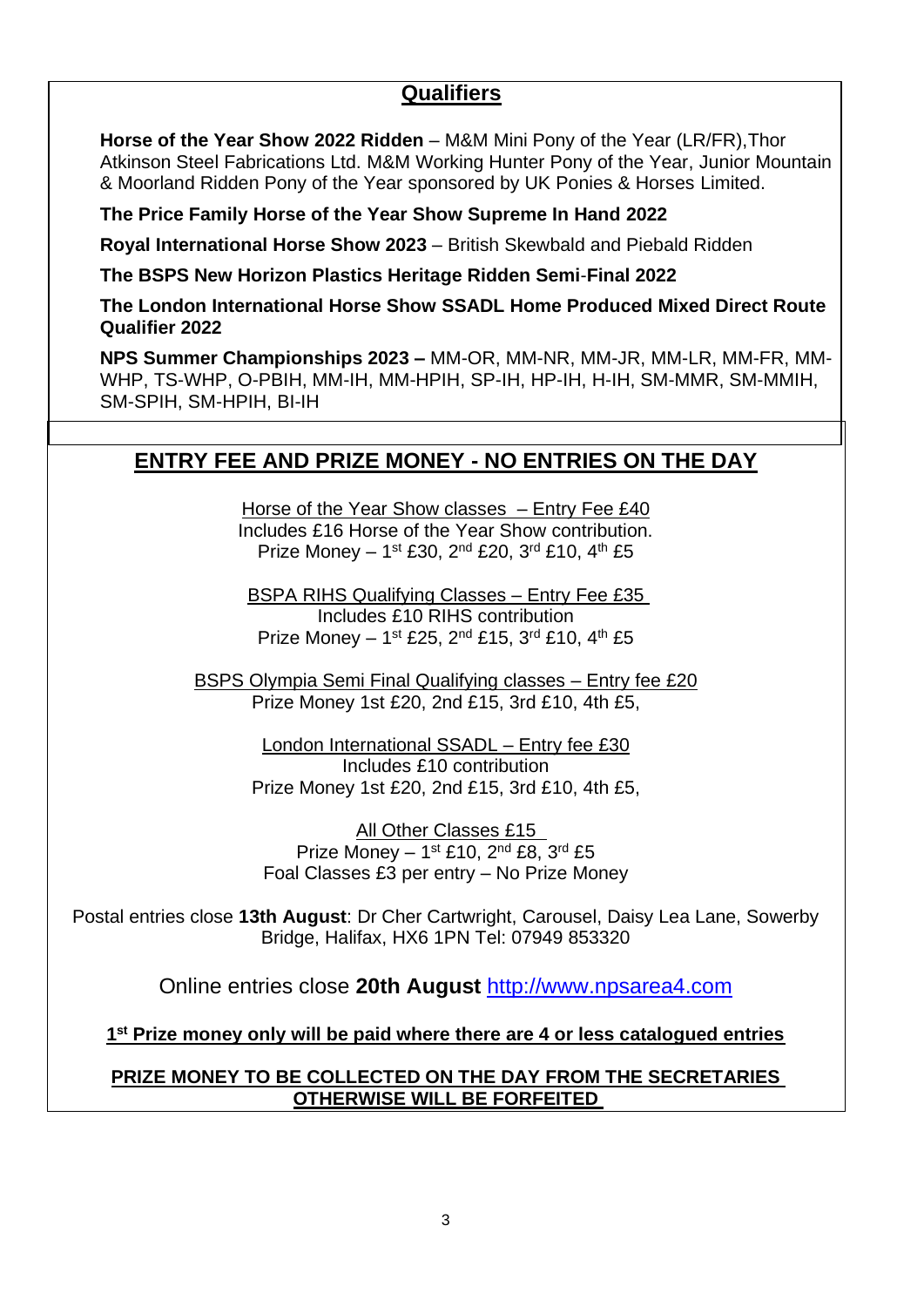# **Qualifiers**

**Horse of the Year Show 2022 Ridden** – M&M Mini Pony of the Year (LR/FR),Thor Atkinson Steel Fabrications Ltd. M&M Working Hunter Pony of the Year, Junior Mountain & Moorland Ridden Pony of the Year sponsored by UK Ponies & Horses Limited.

**The Price Family Horse of the Year Show Supreme In Hand 2022**

**Royal International Horse Show 2023** – British Skewbald and Piebald Ridden

**The BSPS New Horizon Plastics Heritage Ridden Semi**-**Final 2022**

**The London International Horse Show SSADL Home Produced Mixed Direct Route Qualifier 2022**

**NPS Summer Championships 2023 –** MM-OR, MM-NR, MM-JR, MM-LR, MM-FR, MM-WHP, TS-WHP, O-PBIH, MM-IH, MM-HPIH, SP-IH, HP-IH, H-IH, SM-MMR, SM-MMIH, SM-SPIH, SM-HPIH, BI-IH

# **ENTRY FEE AND PRIZE MONEY - NO ENTRIES ON THE DAY**

Horse of the Year Show classes – Entry Fee £40 Includes £16 Horse of the Year Show contribution. Prize Money - 1<sup>st</sup> £30, 2<sup>nd</sup> £20, 3<sup>rd</sup> £10, 4<sup>th</sup> £5

BSPA RIHS Qualifying Classes – Entry Fee £35 Includes £10 RIHS contribution Prize Money - 1<sup>st</sup> £25, 2<sup>nd</sup> £15, 3<sup>rd</sup> £10, 4<sup>th</sup> £5

BSPS Olympia Semi Final Qualifying classes – Entry fee £20 Prize Money 1st £20, 2nd £15, 3rd £10, 4th £5,

> London International SSADL – Entry fee £30 Includes £10 contribution Prize Money 1st £20, 2nd £15, 3rd £10, 4th £5,

All Other Classes £15 Prize Money  $-1$ <sup>st</sup> £10, 2<sup>nd</sup> £8, 3<sup>rd</sup> £5 Foal Classes £3 per entry – No Prize Money

Postal entries close **13th August**: Dr Cher Cartwright, Carousel, Daisy Lea Lane, Sowerby Bridge, Halifax, HX6 1PN Tel: 07949 853320

Online entries close **20th August** [http://www.npsarea4.com](http://www.npsarea4.com/)

**1 st Prize money only will be paid where there are 4 or less catalogued entries**

**PRIZE MONEY TO BE COLLECTED ON THE DAY FROM THE SECRETARIES OTHERWISE WILL BE FORFEITED**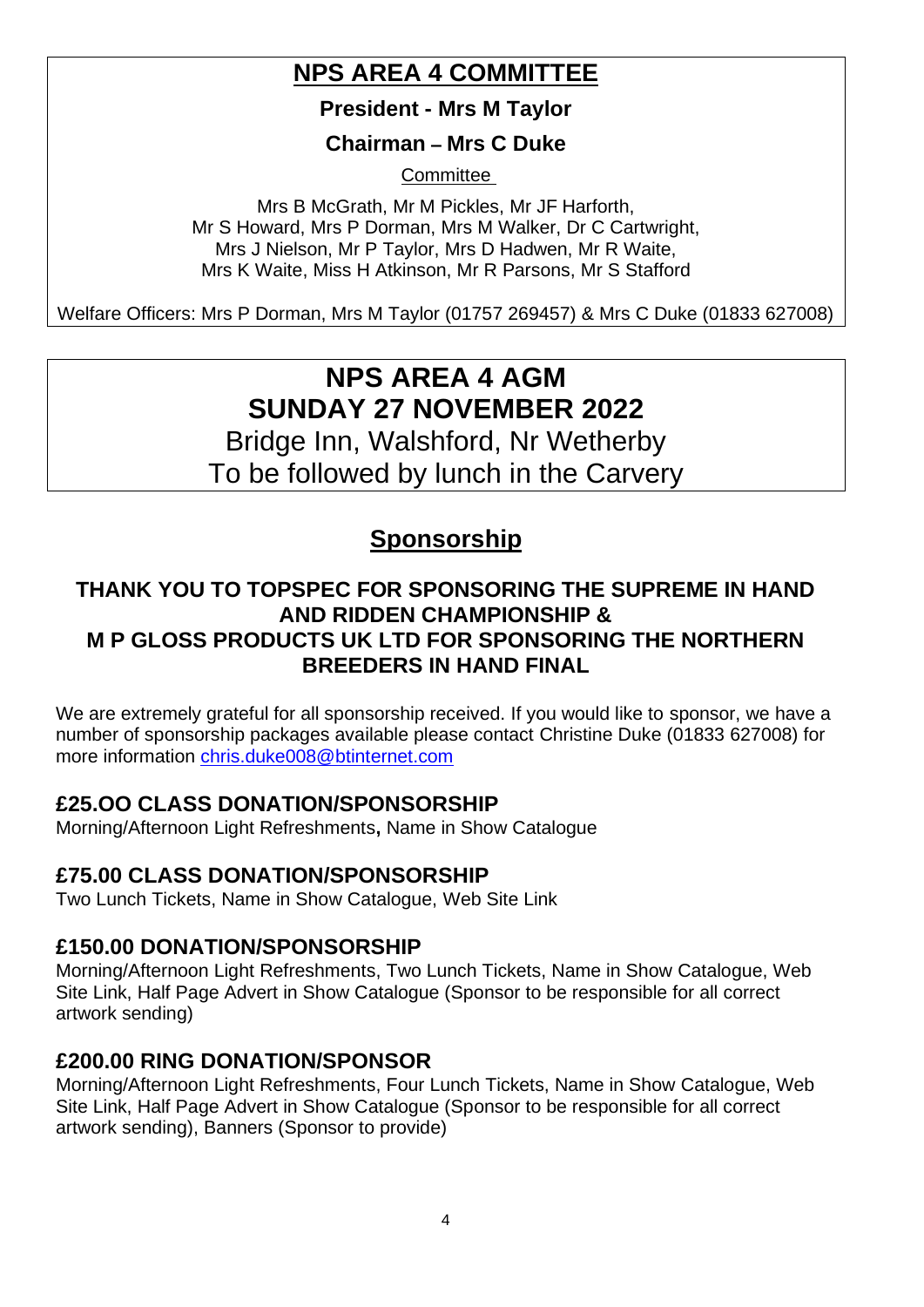# **NPS AREA 4 COMMITTEE**

**President - Mrs M Taylor**

**Chairman – Mrs C Duke**

**Committee** 

Mrs B McGrath, Mr M Pickles, Mr JF Harforth, Mr S Howard, Mrs P Dorman, Mrs M Walker, Dr C Cartwright, Mrs J Nielson, Mr P Taylor, Mrs D Hadwen, Mr R Waite, Mrs K Waite, Miss H Atkinson, Mr R Parsons, Mr S Stafford

Welfare Officers: Mrs P Dorman, Mrs M Taylor (01757 269457) & Mrs C Duke (01833 627008)

# **NPS AREA 4 AGM SUNDAY 27 NOVEMBER 2022**

Bridge Inn, Walshford, Nr Wetherby To be followed by lunch in the Carvery

# **Sponsorship**

# **THANK YOU TO TOPSPEC FOR SPONSORING THE SUPREME IN HAND AND RIDDEN CHAMPIONSHIP & M P GLOSS PRODUCTS UK LTD FOR SPONSORING THE NORTHERN BREEDERS IN HAND FINAL**

We are extremely grateful for all sponsorship received. If you would like to sponsor, we have a number of sponsorship packages available please contact Christine Duke (01833 627008) for more information [chris.duke008@btinternet.com](mailto:chris.duke008@btinternet.com)

# **£25.OO CLASS DONATION/SPONSORSHIP**

Morning/Afternoon Light Refreshments**,** Name in Show Catalogue

# **£75.00 CLASS DONATION/SPONSORSHIP**

Two Lunch Tickets, Name in Show Catalogue, Web Site Link

# **£150.00 DONATION/SPONSORSHIP**

Morning/Afternoon Light Refreshments, Two Lunch Tickets, Name in Show Catalogue, Web Site Link, Half Page Advert in Show Catalogue (Sponsor to be responsible for all correct artwork sending)

# **£200.00 RING DONATION/SPONSOR**

Morning/Afternoon Light Refreshments, Four Lunch Tickets, Name in Show Catalogue, Web Site Link, Half Page Advert in Show Catalogue (Sponsor to be responsible for all correct artwork sending), Banners (Sponsor to provide)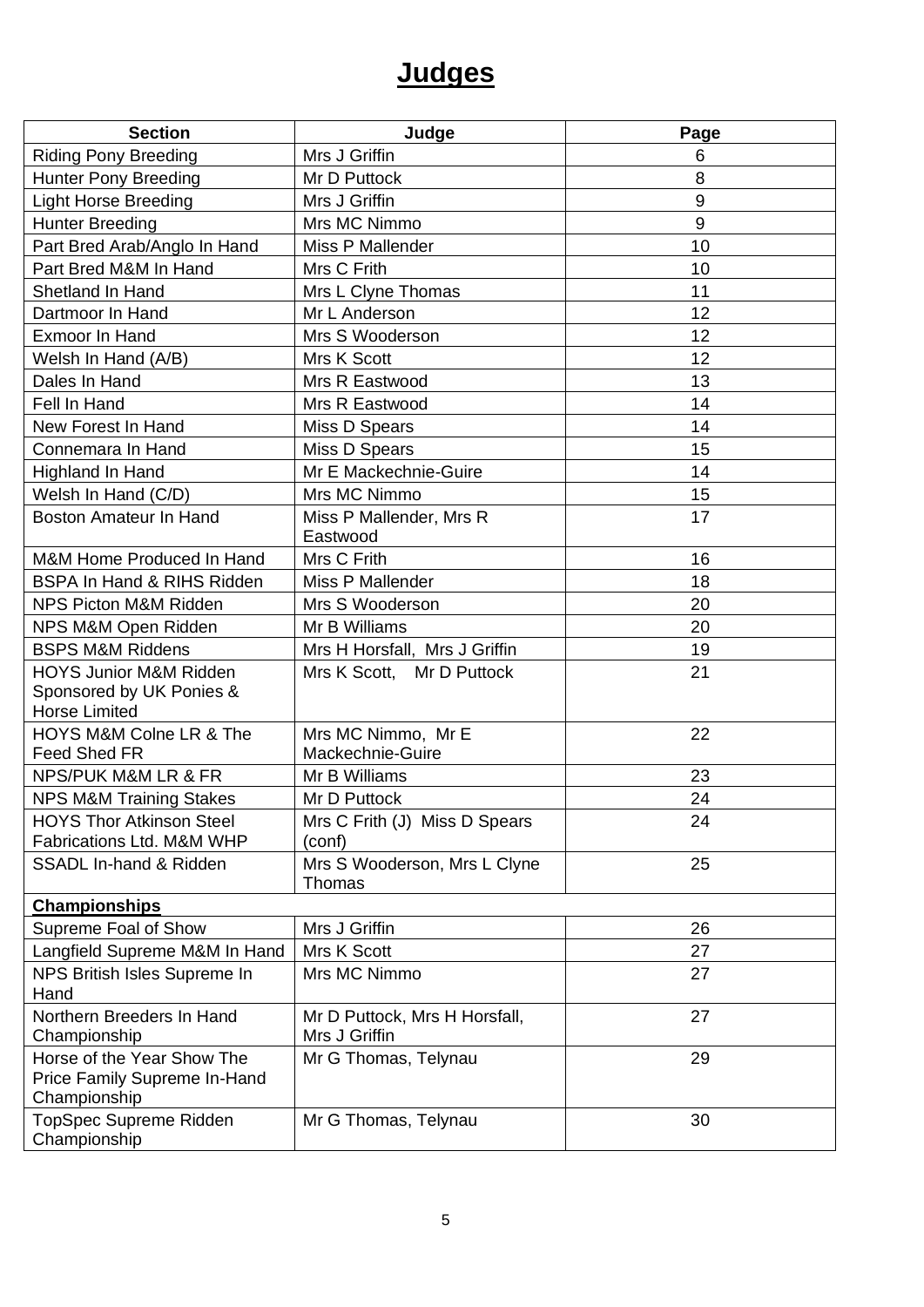# **Judges**

| <b>Section</b>                                                             | Judge                                          | Page             |  |  |
|----------------------------------------------------------------------------|------------------------------------------------|------------------|--|--|
| <b>Riding Pony Breeding</b>                                                | Mrs J Griffin                                  | 6                |  |  |
| <b>Hunter Pony Breeding</b>                                                | Mr D Puttock                                   | 8                |  |  |
| <b>Light Horse Breeding</b>                                                | Mrs J Griffin                                  | $\boldsymbol{9}$ |  |  |
| <b>Hunter Breeding</b>                                                     | Mrs MC Nimmo                                   | $\boldsymbol{9}$ |  |  |
| Part Bred Arab/Anglo In Hand                                               | Miss P Mallender                               | 10               |  |  |
| Part Bred M&M In Hand                                                      | Mrs C Frith                                    | 10               |  |  |
| Shetland In Hand                                                           | Mrs L Clyne Thomas                             | 11               |  |  |
| Dartmoor In Hand                                                           | Mr L Anderson                                  | 12               |  |  |
| Exmoor In Hand                                                             | Mrs S Wooderson                                | 12               |  |  |
| Welsh In Hand (A/B)                                                        | Mrs K Scott                                    | 12               |  |  |
| Dales In Hand                                                              | Mrs R Eastwood                                 | 13               |  |  |
| Fell In Hand                                                               | Mrs R Eastwood                                 | 14               |  |  |
| New Forest In Hand                                                         | Miss D Spears                                  | 14               |  |  |
| Connemara In Hand                                                          | Miss D Spears                                  | 15               |  |  |
| Highland In Hand                                                           | Mr E Mackechnie-Guire                          | 14               |  |  |
| Welsh In Hand (C/D)                                                        | Mrs MC Nimmo                                   | 15               |  |  |
| <b>Boston Amateur In Hand</b>                                              | Miss P Mallender, Mrs R<br>Eastwood            | 17               |  |  |
| M&M Home Produced In Hand                                                  | Mrs C Frith                                    | 16               |  |  |
| <b>BSPA In Hand &amp; RIHS Ridden</b>                                      | Miss P Mallender                               | 18               |  |  |
| NPS Picton M&M Ridden                                                      | Mrs S Wooderson                                | 20               |  |  |
| NPS M&M Open Ridden                                                        | Mr B Williams                                  | 20               |  |  |
| <b>BSPS M&amp;M Riddens</b>                                                | Mrs H Horsfall, Mrs J Griffin                  | 19               |  |  |
| <b>HOYS Junior M&amp;M Ridden</b>                                          | Mrs K Scott, Mr D Puttock                      | 21               |  |  |
| Sponsored by UK Ponies &<br><b>Horse Limited</b>                           |                                                |                  |  |  |
| HOYS M&M Colne LR & The<br>Feed Shed FR                                    | Mrs MC Nimmo, Mr E<br>Mackechnie-Guire         | 22               |  |  |
| NPS/PUK M&M LR & FR                                                        | Mr B Williams                                  | 23               |  |  |
| <b>NPS M&amp;M Training Stakes</b>                                         | Mr D Puttock                                   | 24               |  |  |
| <b>HOYS Thor Atkinson Steel</b><br>Fabrications Ltd. M&M WHP               | Mrs C Frith (J) Miss D Spears<br>(conf)        | 24               |  |  |
| <b>SSADL In-hand &amp; Ridden</b>                                          | Mrs S Wooderson, Mrs L Clyne<br>Thomas         | 25               |  |  |
| <b>Championships</b>                                                       |                                                |                  |  |  |
| Supreme Foal of Show                                                       | Mrs J Griffin                                  | 26               |  |  |
| Langfield Supreme M&M In Hand                                              | Mrs K Scott                                    | 27               |  |  |
| NPS British Isles Supreme In<br>Hand                                       | Mrs MC Nimmo                                   | 27               |  |  |
| Northern Breeders In Hand<br>Championship                                  | Mr D Puttock, Mrs H Horsfall,<br>Mrs J Griffin | 27               |  |  |
| Horse of the Year Show The<br>Price Family Supreme In-Hand<br>Championship | Mr G Thomas, Telynau                           | 29               |  |  |
| TopSpec Supreme Ridden<br>Championship                                     | Mr G Thomas, Telynau                           | 30               |  |  |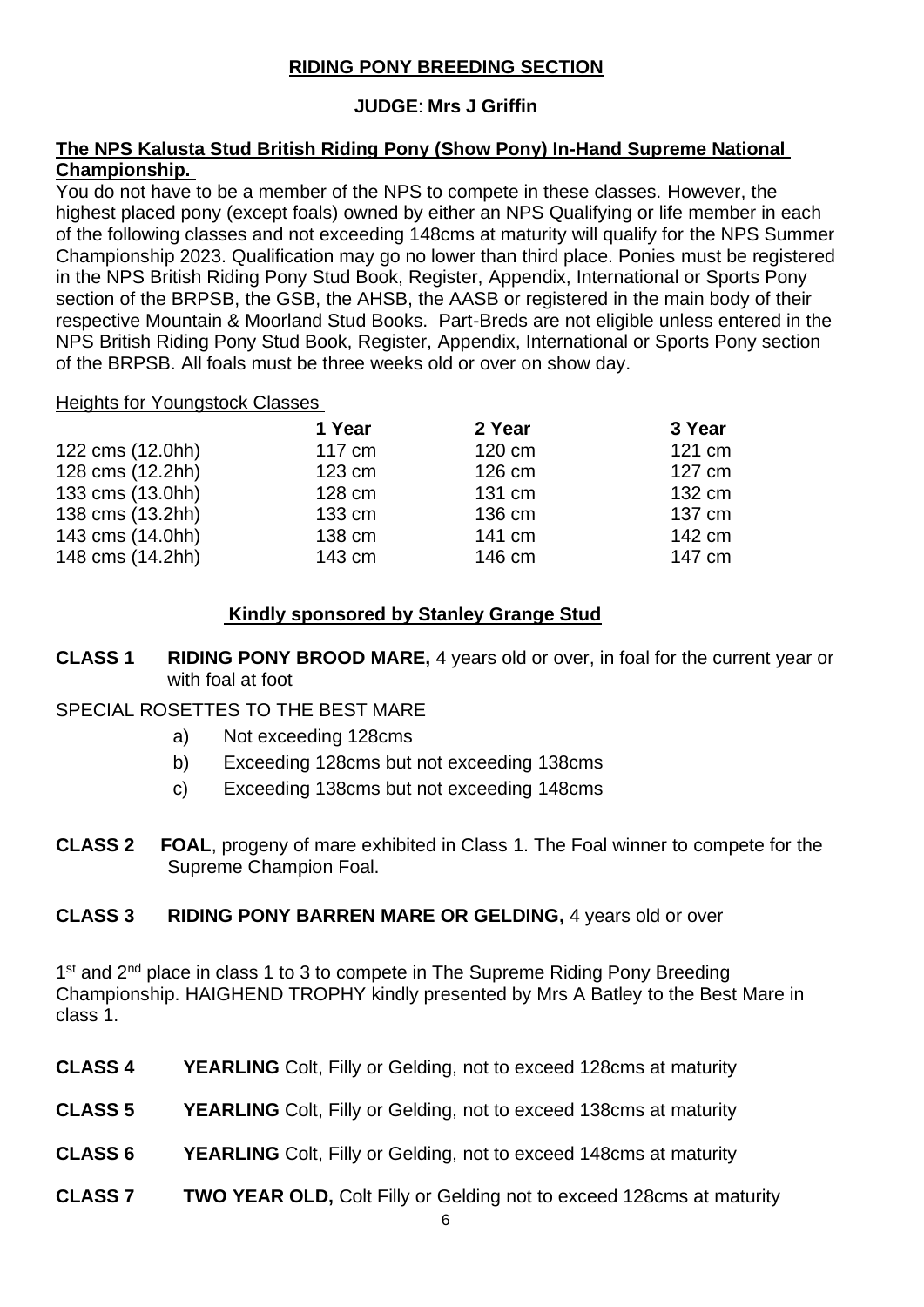### **RIDING PONY BREEDING SECTION**

### **JUDGE**: **Mrs J Griffin**

#### **The NPS Kalusta Stud British Riding Pony (Show Pony) In-Hand Supreme National Championship.**

You do not have to be a member of the NPS to compete in these classes. However, the highest placed pony (except foals) owned by either an NPS Qualifying or life member in each of the following classes and not exceeding 148cms at maturity will qualify for the NPS Summer Championship 2023. Qualification may go no lower than third place. Ponies must be registered in the NPS British Riding Pony Stud Book, Register, Appendix, International or Sports Pony section of the BRPSB, the GSB, the AHSB, the AASB or registered in the main body of their respective Mountain & Moorland Stud Books. Part-Breds are not eligible unless entered in the NPS British Riding Pony Stud Book, Register, Appendix, International or Sports Pony section of the BRPSB. All foals must be three weeks old or over on show day.

#### Heights for Youngstock Classes

|                  | 1 Year           | 2 Year | 3 Year |
|------------------|------------------|--------|--------|
| 122 cms (12.0hh) | 117 cm           | 120 cm | 121 cm |
| 128 cms (12.2hh) | $123 \text{ cm}$ | 126 cm | 127 cm |
| 133 cms (13.0hh) | 128 cm           | 131 cm | 132 cm |
| 138 cms (13.2hh) | 133 cm           | 136 cm | 137 cm |
| 143 cms (14.0hh) | 138 cm           | 141 cm | 142 cm |
| 148 cms (14.2hh) | 143 cm           | 146 cm | 147 cm |

### **Kindly sponsored by Stanley Grange Stud**

**CLASS 1 RIDING PONY BROOD MARE,** 4 years old or over, in foal for the current year or with foal at foot

#### SPECIAL ROSETTES TO THE BEST MARE

- a) Not exceeding 128cms
- b) Exceeding 128cms but not exceeding 138cms
- c) Exceeding 138cms but not exceeding 148cms
- **CLASS 2 FOAL**, progeny of mare exhibited in Class 1. The Foal winner to compete for the Supreme Champion Foal.

#### **CLASS 3 RIDING PONY BARREN MARE OR GELDING,** 4 years old or over

1<sup>st</sup> and 2<sup>nd</sup> place in class 1 to 3 to compete in The Supreme Riding Pony Breeding Championship. HAIGHEND TROPHY kindly presented by Mrs A Batley to the Best Mare in class 1.

- **CLASS 4 YEARLING** Colt, Filly or Gelding, not to exceed 128cms at maturity
- **CLASS 5 YEARLING** Colt, Filly or Gelding, not to exceed 138cms at maturity
- **CLASS 6 YEARLING** Colt, Filly or Gelding, not to exceed 148cms at maturity
- **CLASS 7 TWO YEAR OLD,** Colt Filly or Gelding not to exceed 128cms at maturity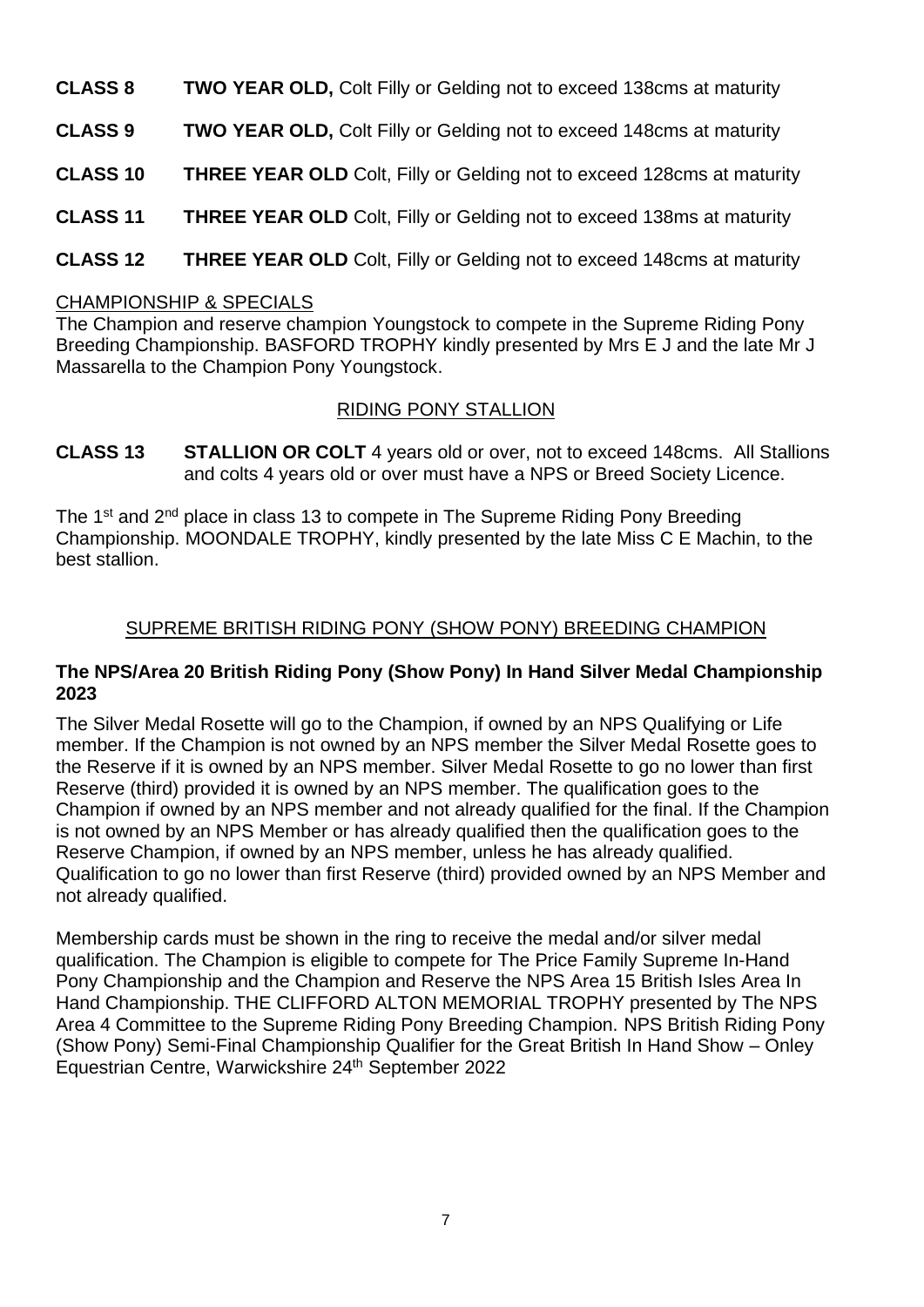- **CLASS 8 TWO YEAR OLD,** Colt Filly or Gelding not to exceed 138cms at maturity
- **CLASS 9 TWO YEAR OLD,** Colt Filly or Gelding not to exceed 148cms at maturity
- **CLASS 10 THREE YEAR OLD** Colt, Filly or Gelding not to exceed 128cms at maturity
- **CLASS 11 THREE YEAR OLD** Colt, Filly or Gelding not to exceed 138ms at maturity
- **CLASS 12 THREE YEAR OLD** Colt, Filly or Gelding not to exceed 148cms at maturity

#### CHAMPIONSHIP & SPECIALS

The Champion and reserve champion Youngstock to compete in the Supreme Riding Pony Breeding Championship. BASFORD TROPHY kindly presented by Mrs E J and the late Mr J Massarella to the Champion Pony Youngstock.

#### RIDING PONY STALLION

**CLASS 13 STALLION OR COLT** 4 years old or over, not to exceed 148cms. All Stallions and colts 4 years old or over must have a NPS or Breed Society Licence.

The 1<sup>st</sup> and 2<sup>nd</sup> place in class 13 to compete in The Supreme Riding Pony Breeding Championship. MOONDALE TROPHY, kindly presented by the late Miss C E Machin, to the best stallion.

#### SUPREME BRITISH RIDING PONY (SHOW PONY) BREEDING CHAMPION

#### **The NPS/Area 20 British Riding Pony (Show Pony) In Hand Silver Medal Championship 2023**

The Silver Medal Rosette will go to the Champion, if owned by an NPS Qualifying or Life member. If the Champion is not owned by an NPS member the Silver Medal Rosette goes to the Reserve if it is owned by an NPS member. Silver Medal Rosette to go no lower than first Reserve (third) provided it is owned by an NPS member. The qualification goes to the Champion if owned by an NPS member and not already qualified for the final. If the Champion is not owned by an NPS Member or has already qualified then the qualification goes to the Reserve Champion, if owned by an NPS member, unless he has already qualified. Qualification to go no lower than first Reserve (third) provided owned by an NPS Member and not already qualified.

Membership cards must be shown in the ring to receive the medal and/or silver medal qualification. The Champion is eligible to compete for The Price Family Supreme In-Hand Pony Championship and the Champion and Reserve the NPS Area 15 British Isles Area In Hand Championship. THE CLIFFORD ALTON MEMORIAL TROPHY presented by The NPS Area 4 Committee to the Supreme Riding Pony Breeding Champion. NPS British Riding Pony (Show Pony) Semi-Final Championship Qualifier for the Great British In Hand Show – Onley Equestrian Centre, Warwickshire 24th September 2022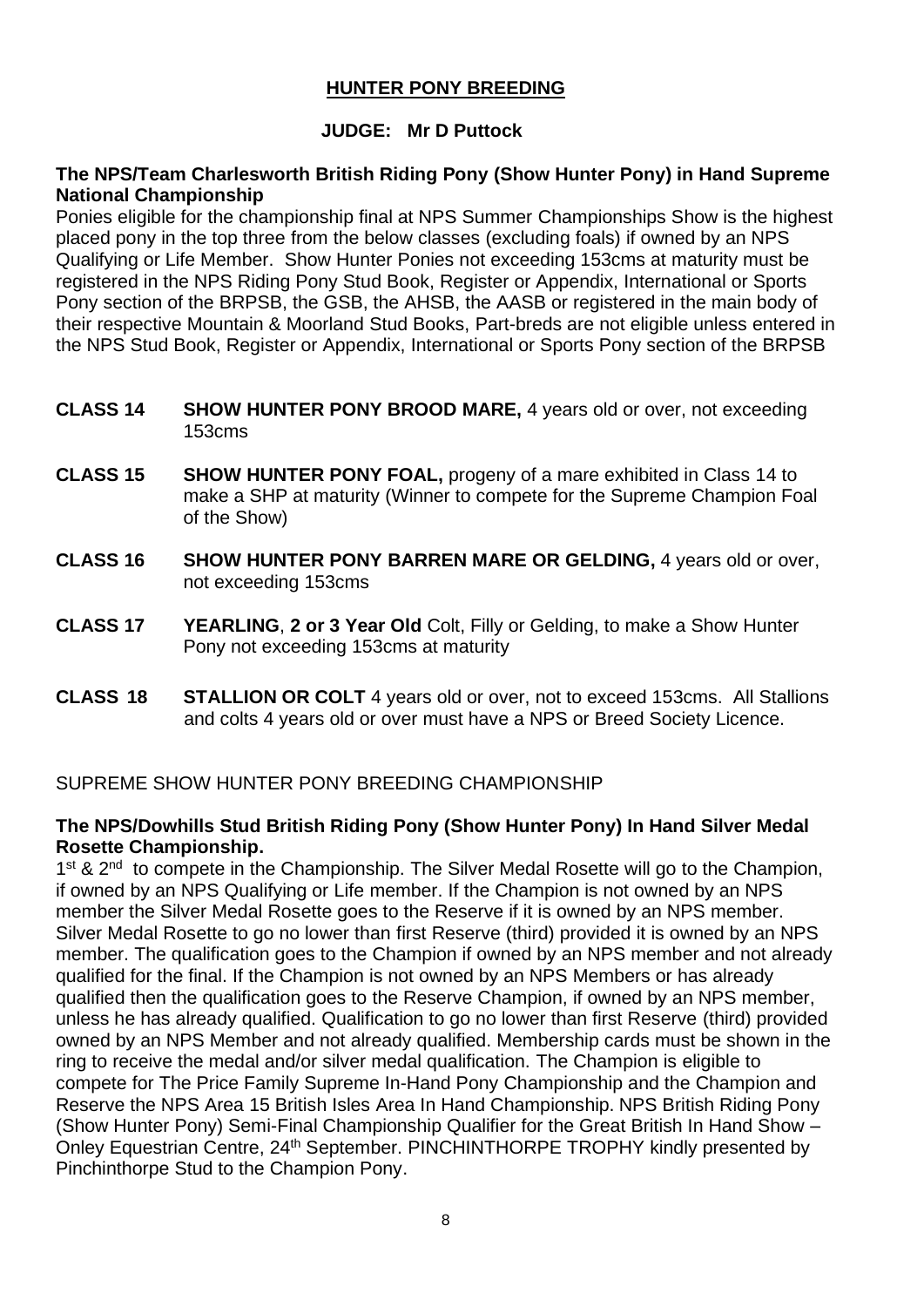### **HUNTER PONY BREEDING**

#### **JUDGE: Mr D Puttock**

#### **The NPS/Team Charlesworth British Riding Pony (Show Hunter Pony) in Hand Supreme National Championship**

Ponies eligible for the championship final at NPS Summer Championships Show is the highest placed pony in the top three from the below classes (excluding foals) if owned by an NPS Qualifying or Life Member. Show Hunter Ponies not exceeding 153cms at maturity must be registered in the NPS Riding Pony Stud Book, Register or Appendix, International or Sports Pony section of the BRPSB, the GSB, the AHSB, the AASB or registered in the main body of their respective Mountain & Moorland Stud Books, Part-breds are not eligible unless entered in the NPS Stud Book, Register or Appendix, International or Sports Pony section of the BRPSB

- **CLASS 14 SHOW HUNTER PONY BROOD MARE,** 4 years old or over, not exceeding 153cms
- **CLASS 15 SHOW HUNTER PONY FOAL,** progeny of a mare exhibited in Class 14 to make a SHP at maturity (Winner to compete for the Supreme Champion Foal of the Show)
- **CLASS 16 SHOW HUNTER PONY BARREN MARE OR GELDING,** 4 years old or over, not exceeding 153cms
- **CLASS 17 YEARLING**, **2 or 3 Year Old** Colt, Filly or Gelding, to make a Show Hunter Pony not exceeding 153cms at maturity
- **CLASS 18 STALLION OR COLT** 4 years old or over, not to exceed 153cms. All Stallions and colts 4 years old or over must have a NPS or Breed Society Licence.

#### SUPREME SHOW HUNTER PONY BREEDING CHAMPIONSHIP

#### **The NPS/Dowhills Stud British Riding Pony (Show Hunter Pony) In Hand Silver Medal Rosette Championship.**

1<sup>st</sup> & 2<sup>nd</sup> to compete in the Championship. The Silver Medal Rosette will go to the Champion, if owned by an NPS Qualifying or Life member. If the Champion is not owned by an NPS member the Silver Medal Rosette goes to the Reserve if it is owned by an NPS member. Silver Medal Rosette to go no lower than first Reserve (third) provided it is owned by an NPS member. The qualification goes to the Champion if owned by an NPS member and not already qualified for the final. If the Champion is not owned by an NPS Members or has already qualified then the qualification goes to the Reserve Champion, if owned by an NPS member, unless he has already qualified. Qualification to go no lower than first Reserve (third) provided owned by an NPS Member and not already qualified. Membership cards must be shown in the ring to receive the medal and/or silver medal qualification. The Champion is eligible to compete for The Price Family Supreme In-Hand Pony Championship and the Champion and Reserve the NPS Area 15 British Isles Area In Hand Championship. NPS British Riding Pony (Show Hunter Pony) Semi-Final Championship Qualifier for the Great British In Hand Show – Onley Equestrian Centre, 24<sup>th</sup> September. PINCHINTHORPE TROPHY kindly presented by Pinchinthorpe Stud to the Champion Pony.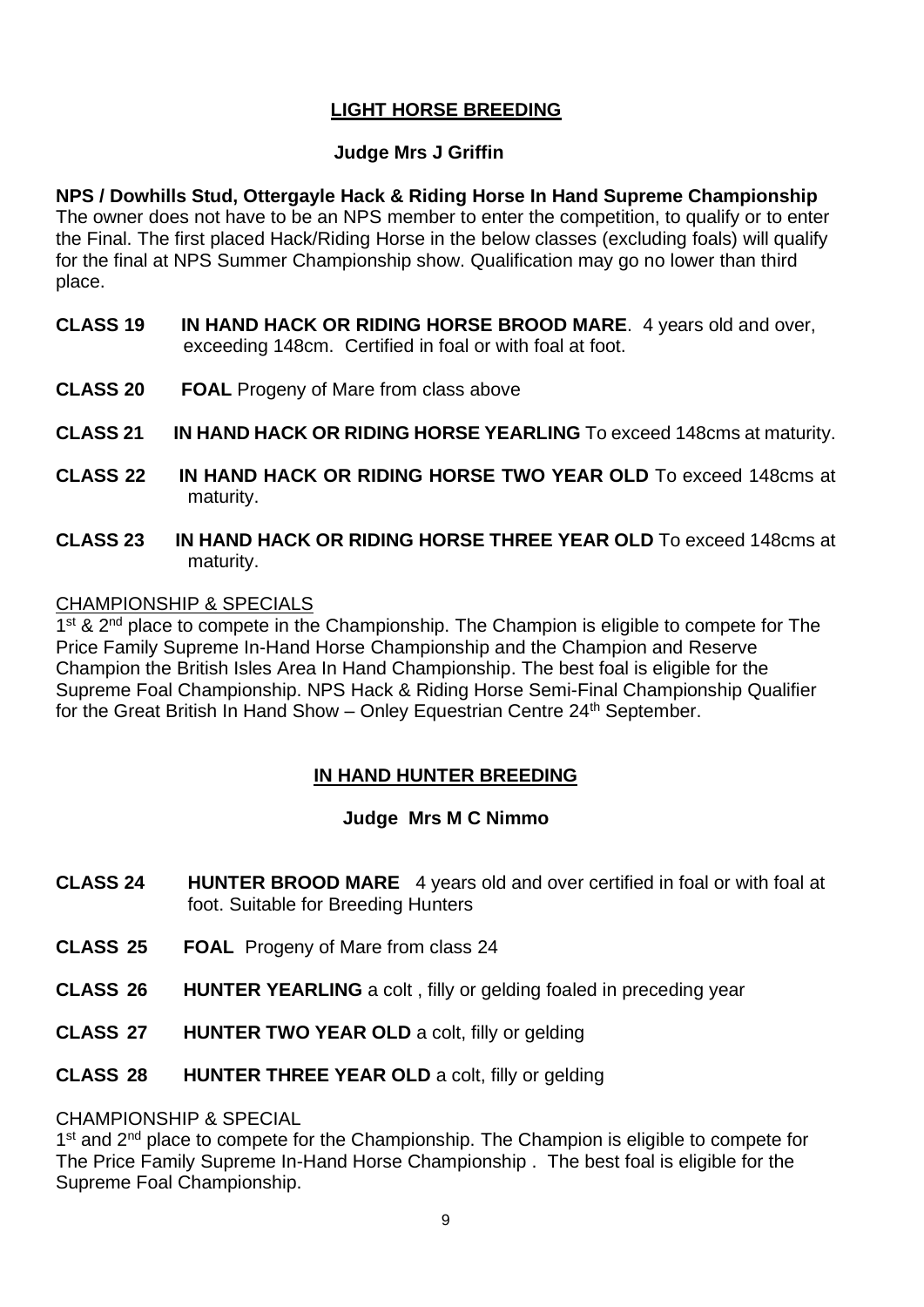#### **LIGHT HORSE BREEDING**

#### **Judge Mrs J Griffin**

**NPS / Dowhills Stud, Ottergayle Hack & Riding Horse In Hand Supreme Championship** The owner does not have to be an NPS member to enter the competition, to qualify or to enter the Final. The first placed Hack/Riding Horse in the below classes (excluding foals) will qualify for the final at NPS Summer Championship show. Qualification may go no lower than third place.

- **CLASS 19 IN HAND HACK OR RIDING HORSE BROOD MARE**. 4 years old and over, exceeding 148cm. Certified in foal or with foal at foot.
- **CLASS 20 FOAL** Progeny of Mare from class above
- **CLASS 21 IN HAND HACK OR RIDING HORSE YEARLING** To exceed 148cms at maturity.
- **CLASS 22 IN HAND HACK OR RIDING HORSE TWO YEAR OLD** To exceed 148cms at maturity.
- **CLASS 23 IN HAND HACK OR RIDING HORSE THREE YEAR OLD** To exceed 148cms at maturity.

#### CHAMPIONSHIP & SPECIALS

1<sup>st</sup> & 2<sup>nd</sup> place to compete in the Championship. The Champion is eligible to compete for The Price Family Supreme In-Hand Horse Championship and the Champion and Reserve Champion the British Isles Area In Hand Championship. The best foal is eligible for the Supreme Foal Championship. NPS Hack & Riding Horse Semi-Final Championship Qualifier for the Great British In Hand Show – Onley Equestrian Centre 24<sup>th</sup> September.

#### **IN HAND HUNTER BREEDING**

#### **Judge Mrs M C Nimmo**

- **CLASS 24 HUNTER BROOD MARE** 4 years old and over certified in foal or with foal at foot. Suitable for Breeding Hunters
- **CLASS 25 FOAL** Progeny of Mare from class 24
- **CLASS 26 HUNTER YEARLING** a colt , filly or gelding foaled in preceding year
- **CLASS 27 HUNTER TWO YEAR OLD** a colt, filly or gelding
- **CLASS 28 HUNTER THREE YEAR OLD** a colt, filly or gelding

CHAMPIONSHIP & SPECIAL

1<sup>st</sup> and 2<sup>nd</sup> place to compete for the Championship. The Champion is eligible to compete for The Price Family Supreme In-Hand Horse Championship . The best foal is eligible for the Supreme Foal Championship.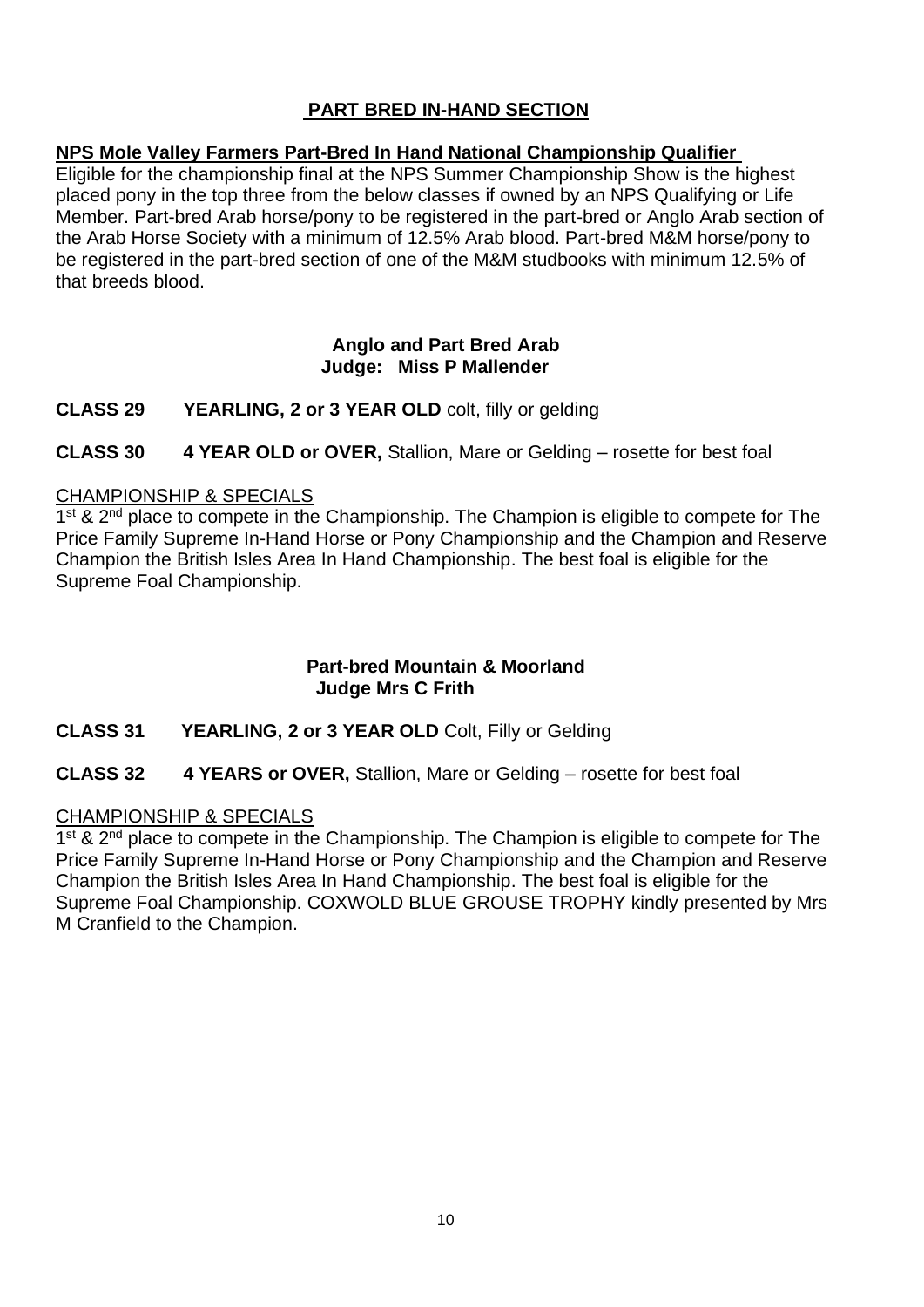#### **PART BRED IN-HAND SECTION**

#### **NPS Mole Valley Farmers Part-Bred In Hand National Championship Qualifier**

Eligible for the championship final at the NPS Summer Championship Show is the highest placed pony in the top three from the below classes if owned by an NPS Qualifying or Life Member. Part-bred Arab horse/pony to be registered in the part-bred or Anglo Arab section of the Arab Horse Society with a minimum of 12.5% Arab blood. Part-bred M&M horse/pony to be registered in the part-bred section of one of the M&M studbooks with minimum 12.5% of that breeds blood.

#### **Anglo and Part Bred Arab Judge: Miss P Mallender**

**CLASS 29 YEARLING, 2 or 3 YEAR OLD** colt, filly or gelding

**CLASS 30 4 YEAR OLD or OVER,** Stallion, Mare or Gelding – rosette for best foal

#### CHAMPIONSHIP & SPECIALS

1<sup>st</sup> & 2<sup>nd</sup> place to compete in the Championship. The Champion is eligible to compete for The Price Family Supreme In-Hand Horse or Pony Championship and the Champion and Reserve Champion the British Isles Area In Hand Championship. The best foal is eligible for the Supreme Foal Championship.

#### **Part-bred Mountain & Moorland Judge Mrs C Frith**

#### **CLASS 31 YEARLING, 2 or 3 YEAR OLD** Colt, Filly or Gelding

#### **CLASS 32 4 YEARS or OVER,** Stallion, Mare or Gelding – rosette for best foal

#### CHAMPIONSHIP & SPECIALS

1<sup>st</sup> & 2<sup>nd</sup> place to compete in the Championship. The Champion is eligible to compete for The Price Family Supreme In-Hand Horse or Pony Championship and the Champion and Reserve Champion the British Isles Area In Hand Championship. The best foal is eligible for the Supreme Foal Championship. COXWOLD BLUE GROUSE TROPHY kindly presented by Mrs M Cranfield to the Champion.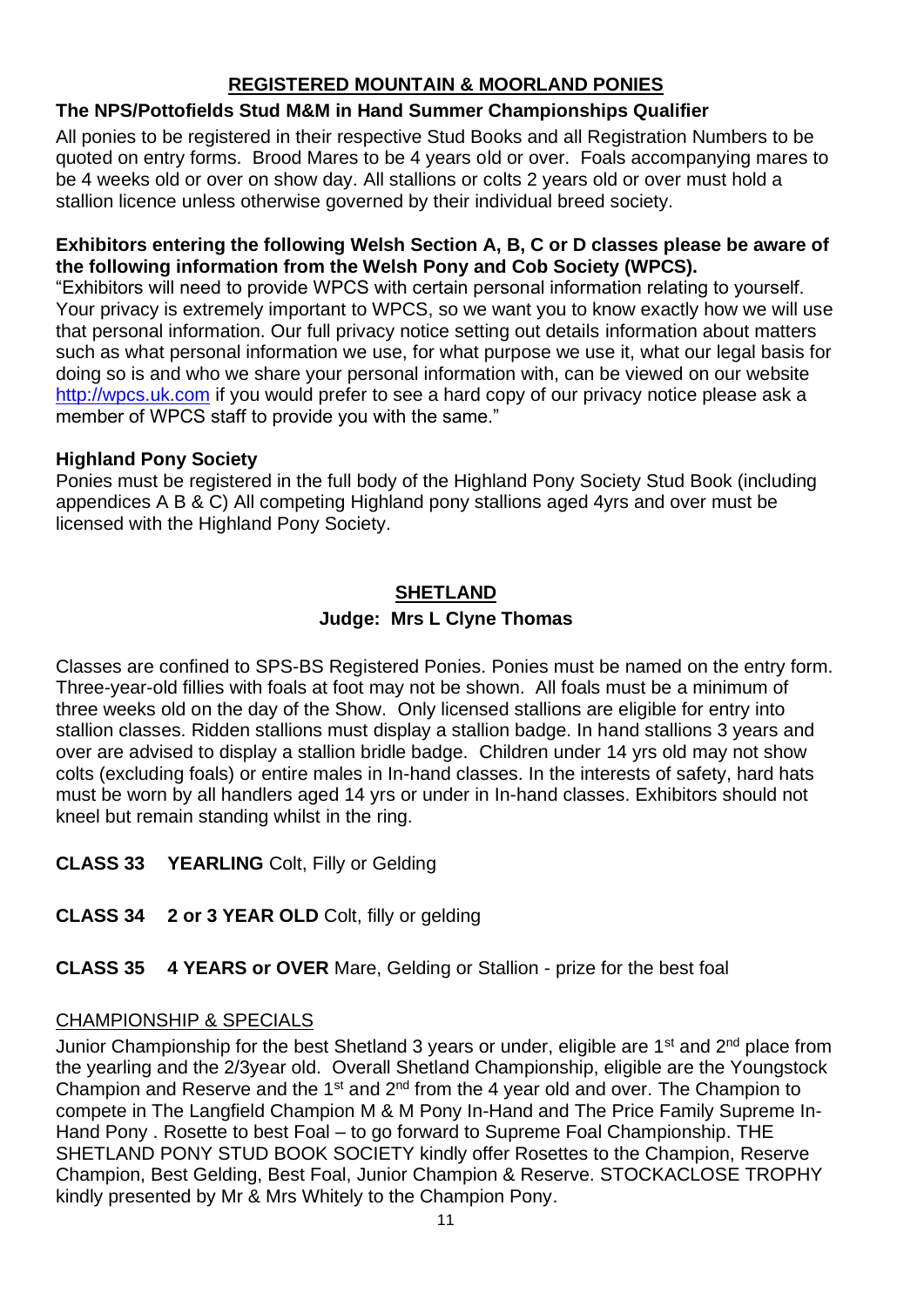#### **REGISTERED MOUNTAIN & MOORLAND PONIES**

#### **The NPS/Pottofields Stud M&M in Hand Summer Championships Qualifier**

All ponies to be registered in their respective Stud Books and all Registration Numbers to be quoted on entry forms. Brood Mares to be 4 years old or over. Foals accompanying mares to be 4 weeks old or over on show day. All stallions or colts 2 years old or over must hold a stallion licence unless otherwise governed by their individual breed society.

#### **Exhibitors entering the following Welsh Section A, B, C or D classes please be aware of the following information from the Welsh Pony and Cob Society (WPCS).**

"Exhibitors will need to provide WPCS with certain personal information relating to yourself. Your privacy is extremely important to WPCS, so we want you to know exactly how we will use that personal information. Our full privacy notice setting out details information about matters such as what personal information we use, for what purpose we use it, what our legal basis for doing so is and who we share your personal information with, can be viewed on our website [http://wpcs.uk.com](http://wpcs.uk.com/) if you would prefer to see a hard copy of our privacy notice please ask a member of WPCS staff to provide you with the same."

#### **Highland Pony Society**

Ponies must be registered in the full body of the Highland Pony Society Stud Book (including appendices A B & C) All competing Highland pony stallions aged 4yrs and over must be licensed with the Highland Pony Society.

#### **SHETLAND Judge: Mrs L Clyne Thomas**

Classes are confined to SPS-BS Registered Ponies. Ponies must be named on the entry form. Three-year-old fillies with foals at foot may not be shown. All foals must be a minimum of three weeks old on the day of the Show. Only licensed stallions are eligible for entry into stallion classes. Ridden stallions must display a stallion badge. In hand stallions 3 years and over are advised to display a stallion bridle badge. Children under 14 yrs old may not show colts (excluding foals) or entire males in In-hand classes. In the interests of safety, hard hats must be worn by all handlers aged 14 yrs or under in In-hand classes. Exhibitors should not kneel but remain standing whilst in the ring.

- **CLASS 33 YEARLING** Colt, Filly or Gelding
- **CLASS 34 2 or 3 YEAR OLD** Colt, filly or gelding
- **CLASS 35 4 YEARS or OVER** Mare, Gelding or Stallion prize for the best foal

#### CHAMPIONSHIP & SPECIALS

Junior Championship for the best Shetland 3 years or under, eligible are 1<sup>st</sup> and 2<sup>nd</sup> place from the yearling and the 2/3year old. Overall Shetland Championship, eligible are the Youngstock Champion and Reserve and the 1st and 2nd from the 4 year old and over. The Champion to compete in The Langfield Champion M & M Pony In-Hand and The Price Family Supreme In-Hand Pony . Rosette to best Foal – to go forward to Supreme Foal Championship. THE SHETLAND PONY STUD BOOK SOCIETY kindly offer Rosettes to the Champion, Reserve Champion, Best Gelding, Best Foal, Junior Champion & Reserve. STOCKACLOSE TROPHY kindly presented by Mr & Mrs Whitely to the Champion Pony.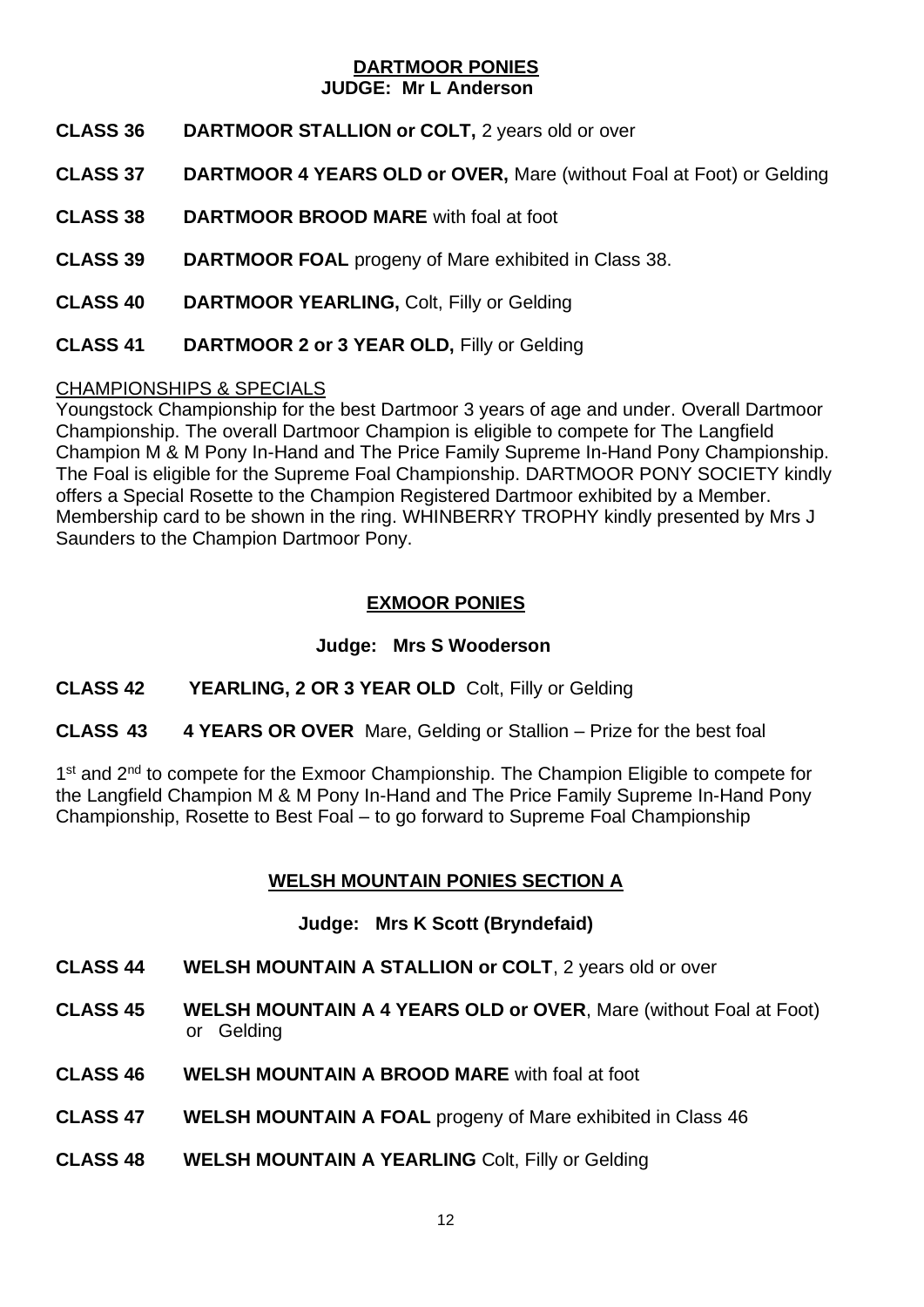#### **DARTMOOR PONIES JUDGE: Mr L Anderson**

- **CLASS 36 DARTMOOR STALLION or COLT,** 2 years old or over
- **CLASS 37 DARTMOOR 4 YEARS OLD or OVER,** Mare (without Foal at Foot) or Gelding
- **CLASS 38 DARTMOOR BROOD MARE** with foal at foot
- **CLASS 39 DARTMOOR FOAL** progeny of Mare exhibited in Class 38.
- **CLASS 40 DARTMOOR YEARLING,** Colt, Filly or Gelding
- **CLASS 41 DARTMOOR 2 or 3 YEAR OLD,** Filly or Gelding

#### CHAMPIONSHIPS & SPECIALS

Youngstock Championship for the best Dartmoor 3 years of age and under. Overall Dartmoor Championship. The overall Dartmoor Champion is eligible to compete for The Langfield Champion M & M Pony In-Hand and The Price Family Supreme In-Hand Pony Championship. The Foal is eligible for the Supreme Foal Championship. DARTMOOR PONY SOCIETY kindly offers a Special Rosette to the Champion Registered Dartmoor exhibited by a Member. Membership card to be shown in the ring. WHINBERRY TROPHY kindly presented by Mrs J Saunders to the Champion Dartmoor Pony.

#### **EXMOOR PONIES**

#### **Judge: Mrs S Wooderson**

**CLASS 42 YEARLING, 2 OR 3 YEAR OLD** Colt, Filly or Gelding

#### **CLASS 43 4 YEARS OR OVER** Mare, Gelding or Stallion – Prize for the best foal

1<sup>st</sup> and 2<sup>nd</sup> to compete for the Exmoor Championship. The Champion Eligible to compete for the Langfield Champion M & M Pony In-Hand and The Price Family Supreme In-Hand Pony Championship, Rosette to Best Foal – to go forward to Supreme Foal Championship

#### **WELSH MOUNTAIN PONIES SECTION A**

#### **Judge: Mrs K Scott (Bryndefaid)**

- **CLASS 44 WELSH MOUNTAIN A STALLION or COLT**, 2 years old or over
- **CLASS 45 WELSH MOUNTAIN A 4 YEARS OLD or OVER**, Mare (without Foal at Foot) or Gelding
- **CLASS 46 WELSH MOUNTAIN A BROOD MARE** with foal at foot
- **CLASS 47 WELSH MOUNTAIN A FOAL** progeny of Mare exhibited in Class 46
- **CLASS 48 WELSH MOUNTAIN A YEARLING** Colt, Filly or Gelding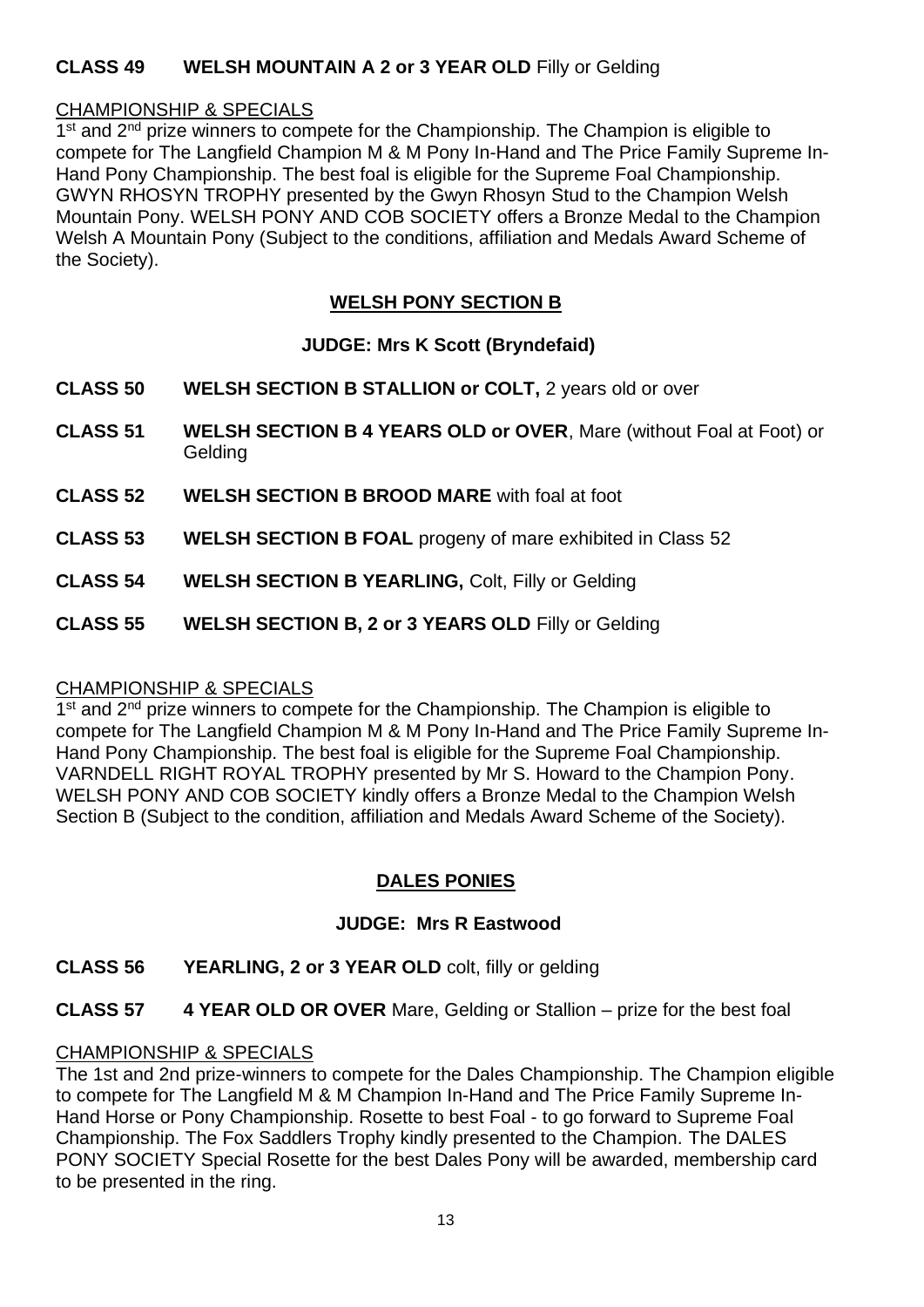#### **CLASS 49 WELSH MOUNTAIN A 2 or 3 YEAR OLD** Filly or Gelding

#### CHAMPIONSHIP & SPECIALS

1<sup>st</sup> and 2<sup>nd</sup> prize winners to compete for the Championship. The Champion is eligible to compete for The Langfield Champion M & M Pony In-Hand and The Price Family Supreme In-Hand Pony Championship. The best foal is eligible for the Supreme Foal Championship. GWYN RHOSYN TROPHY presented by the Gwyn Rhosyn Stud to the Champion Welsh Mountain Pony. WELSH PONY AND COB SOCIETY offers a Bronze Medal to the Champion Welsh A Mountain Pony (Subject to the conditions, affiliation and Medals Award Scheme of the Society).

#### **WELSH PONY SECTION B**

#### **JUDGE: Mrs K Scott (Bryndefaid)**

- **CLASS 50 WELSH SECTION B STALLION or COLT,** 2 years old or over
- **CLASS 51 WELSH SECTION B 4 YEARS OLD or OVER**, Mare (without Foal at Foot) or **Gelding**
- **CLASS 52 WELSH SECTION B BROOD MARE** with foal at foot
- **CLASS 53 WELSH SECTION B FOAL** progeny of mare exhibited in Class 52
- **CLASS 54 WELSH SECTION B YEARLING,** Colt, Filly or Gelding
- **CLASS 55 WELSH SECTION B, 2 or 3 YEARS OLD** Filly or Gelding

#### CHAMPIONSHIP & SPECIALS

1<sup>st</sup> and 2<sup>nd</sup> prize winners to compete for the Championship. The Champion is eligible to compete for The Langfield Champion M & M Pony In-Hand and The Price Family Supreme In-Hand Pony Championship. The best foal is eligible for the Supreme Foal Championship. VARNDELL RIGHT ROYAL TROPHY presented by Mr S. Howard to the Champion Pony. WELSH PONY AND COB SOCIETY kindly offers a Bronze Medal to the Champion Welsh Section B (Subject to the condition, affiliation and Medals Award Scheme of the Society).

#### **DALES PONIES**

#### **JUDGE: Mrs R Eastwood**

- **CLASS 56 YEARLING, 2 or 3 YEAR OLD** colt, filly or gelding
- **CLASS 57 4 YEAR OLD OR OVER** Mare, Gelding or Stallion prize for the best foal

#### CHAMPIONSHIP & SPECIALS

The 1st and 2nd prize-winners to compete for the Dales Championship. The Champion eligible to compete for The Langfield M & M Champion In-Hand and The Price Family Supreme In-Hand Horse or Pony Championship. Rosette to best Foal - to go forward to Supreme Foal Championship. The Fox Saddlers Trophy kindly presented to the Champion. The DALES PONY SOCIETY Special Rosette for the best Dales Pony will be awarded, membership card to be presented in the ring.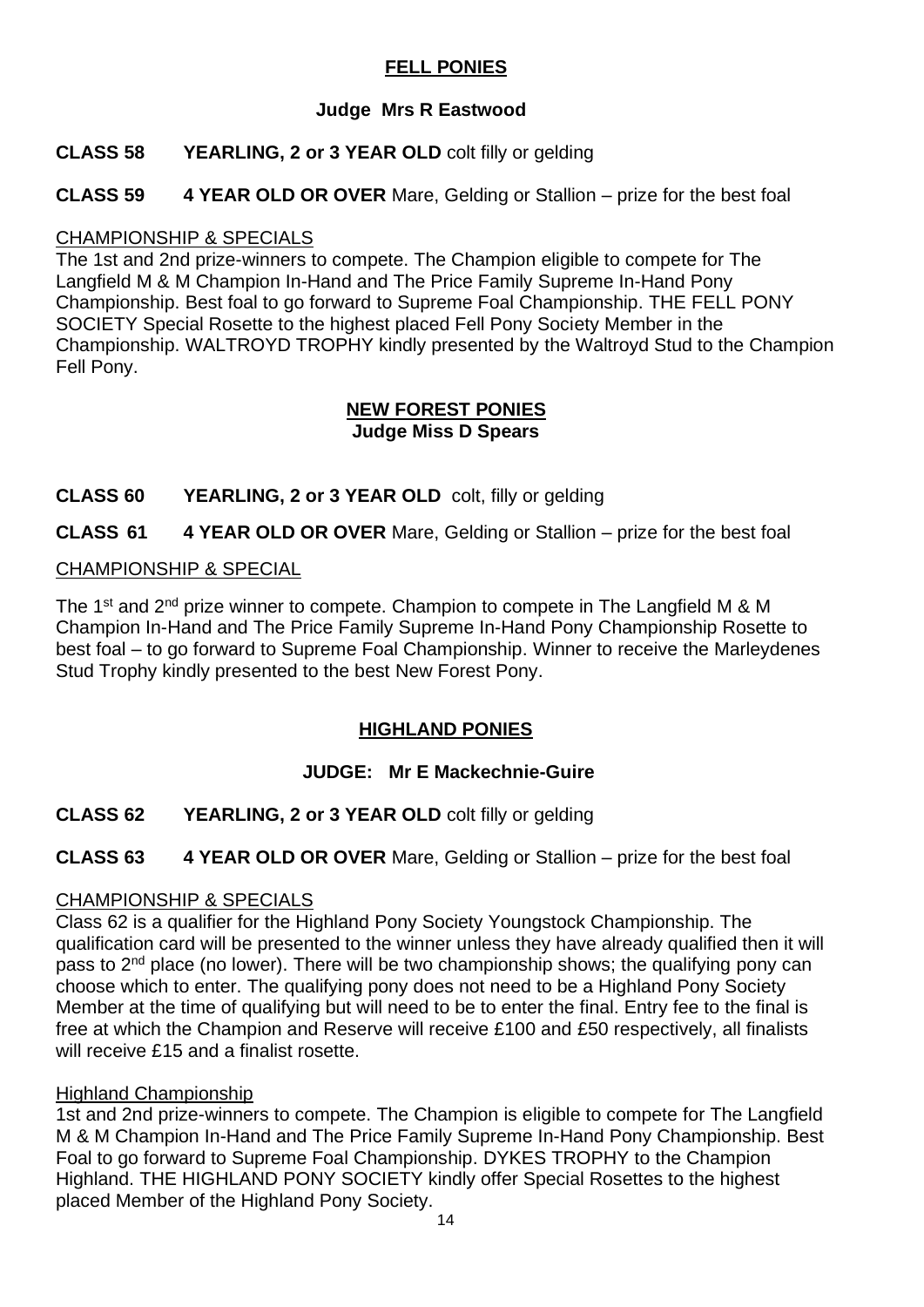#### **FELL PONIES**

#### **Judge Mrs R Eastwood**

#### **CLASS 58 YEARLING, 2 or 3 YEAR OLD** colt filly or gelding

**CLASS 59 4 YEAR OLD OR OVER** Mare, Gelding or Stallion – prize for the best foal

#### CHAMPIONSHIP & SPECIALS

The 1st and 2nd prize-winners to compete. The Champion eligible to compete for The Langfield M & M Champion In-Hand and The Price Family Supreme In-Hand Pony Championship. Best foal to go forward to Supreme Foal Championship. THE FELL PONY SOCIETY Special Rosette to the highest placed Fell Pony Society Member in the Championship. WALTROYD TROPHY kindly presented by the Waltroyd Stud to the Champion Fell Pony.

#### **NEW FOREST PONIES Judge Miss D Spears**

**CLASS 60 YEARLING, 2 or 3 YEAR OLD** colt, filly or gelding

**CLASS 61 4 YEAR OLD OR OVER** Mare, Gelding or Stallion – prize for the best foal

#### CHAMPIONSHIP & SPECIAL

The 1<sup>st</sup> and 2<sup>nd</sup> prize winner to compete. Champion to compete in The Langfield M & M Champion In-Hand and The Price Family Supreme In-Hand Pony Championship Rosette to best foal – to go forward to Supreme Foal Championship. Winner to receive the Marleydenes Stud Trophy kindly presented to the best New Forest Pony.

#### **HIGHLAND PONIES**

#### **JUDGE: Mr E Mackechnie-Guire**

**CLASS 62 YEARLING, 2 or 3 YEAR OLD** colt filly or gelding

**CLASS 63 4 YEAR OLD OR OVER** Mare, Gelding or Stallion – prize for the best foal

#### CHAMPIONSHIP & SPECIALS

Class 62 is a qualifier for the Highland Pony Society Youngstock Championship. The qualification card will be presented to the winner unless they have already qualified then it will pass to 2<sup>nd</sup> place (no lower). There will be two championship shows; the qualifying pony can choose which to enter. The qualifying pony does not need to be a Highland Pony Society Member at the time of qualifying but will need to be to enter the final. Entry fee to the final is free at which the Champion and Reserve will receive £100 and £50 respectively, all finalists will receive £15 and a finalist rosette.

#### Highland Championship

1st and 2nd prize-winners to compete. The Champion is eligible to compete for The Langfield M & M Champion In-Hand and The Price Family Supreme In-Hand Pony Championship. Best Foal to go forward to Supreme Foal Championship. DYKES TROPHY to the Champion Highland. THE HIGHLAND PONY SOCIETY kindly offer Special Rosettes to the highest placed Member of the Highland Pony Society.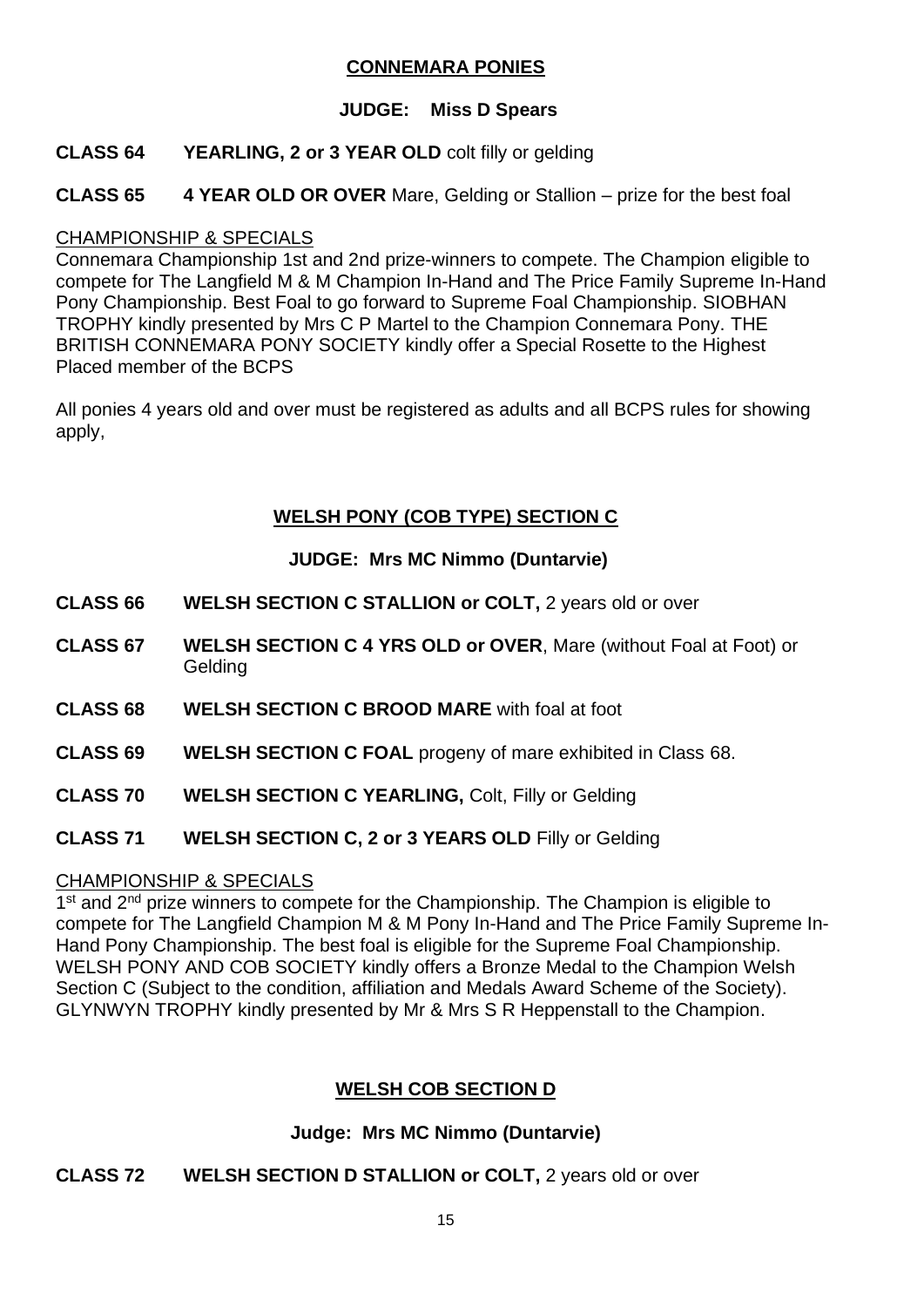#### **CONNEMARA PONIES**

#### **JUDGE: Miss D Spears**

#### **CLASS 64 YEARLING, 2 or 3 YEAR OLD** colt filly or gelding

**CLASS 65 4 YEAR OLD OR OVER** Mare, Gelding or Stallion – prize for the best foal

#### CHAMPIONSHIP & SPECIALS

Connemara Championship 1st and 2nd prize-winners to compete. The Champion eligible to compete for The Langfield M & M Champion In-Hand and The Price Family Supreme In-Hand Pony Championship. Best Foal to go forward to Supreme Foal Championship. SIOBHAN TROPHY kindly presented by Mrs C P Martel to the Champion Connemara Pony. THE BRITISH CONNEMARA PONY SOCIETY kindly offer a Special Rosette to the Highest Placed member of the BCPS

All ponies 4 years old and over must be registered as adults and all BCPS rules for showing apply,

### **WELSH PONY (COB TYPE) SECTION C**

#### **JUDGE: Mrs MC Nimmo (Duntarvie)**

- **CLASS 66 WELSH SECTION C STALLION or COLT,** 2 years old or over
- **CLASS 67 WELSH SECTION C 4 YRS OLD or OVER**, Mare (without Foal at Foot) or Gelding
- **CLASS 68 WELSH SECTION C BROOD MARE** with foal at foot
- **CLASS 69 WELSH SECTION C FOAL** progeny of mare exhibited in Class 68.
- **CLASS 70 WELSH SECTION C YEARLING,** Colt, Filly or Gelding
- **CLASS 71 WELSH SECTION C, 2 or 3 YEARS OLD** Filly or Gelding

#### CHAMPIONSHIP & SPECIALS

1<sup>st</sup> and 2<sup>nd</sup> prize winners to compete for the Championship. The Champion is eligible to compete for The Langfield Champion M & M Pony In-Hand and The Price Family Supreme In-Hand Pony Championship. The best foal is eligible for the Supreme Foal Championship. WELSH PONY AND COB SOCIETY kindly offers a Bronze Medal to the Champion Welsh Section C (Subject to the condition, affiliation and Medals Award Scheme of the Society). GLYNWYN TROPHY kindly presented by Mr & Mrs S R Heppenstall to the Champion.

#### **WELSH COB SECTION D**

#### **Judge: Mrs MC Nimmo (Duntarvie)**

**CLASS 72 WELSH SECTION D STALLION or COLT,** 2 years old or over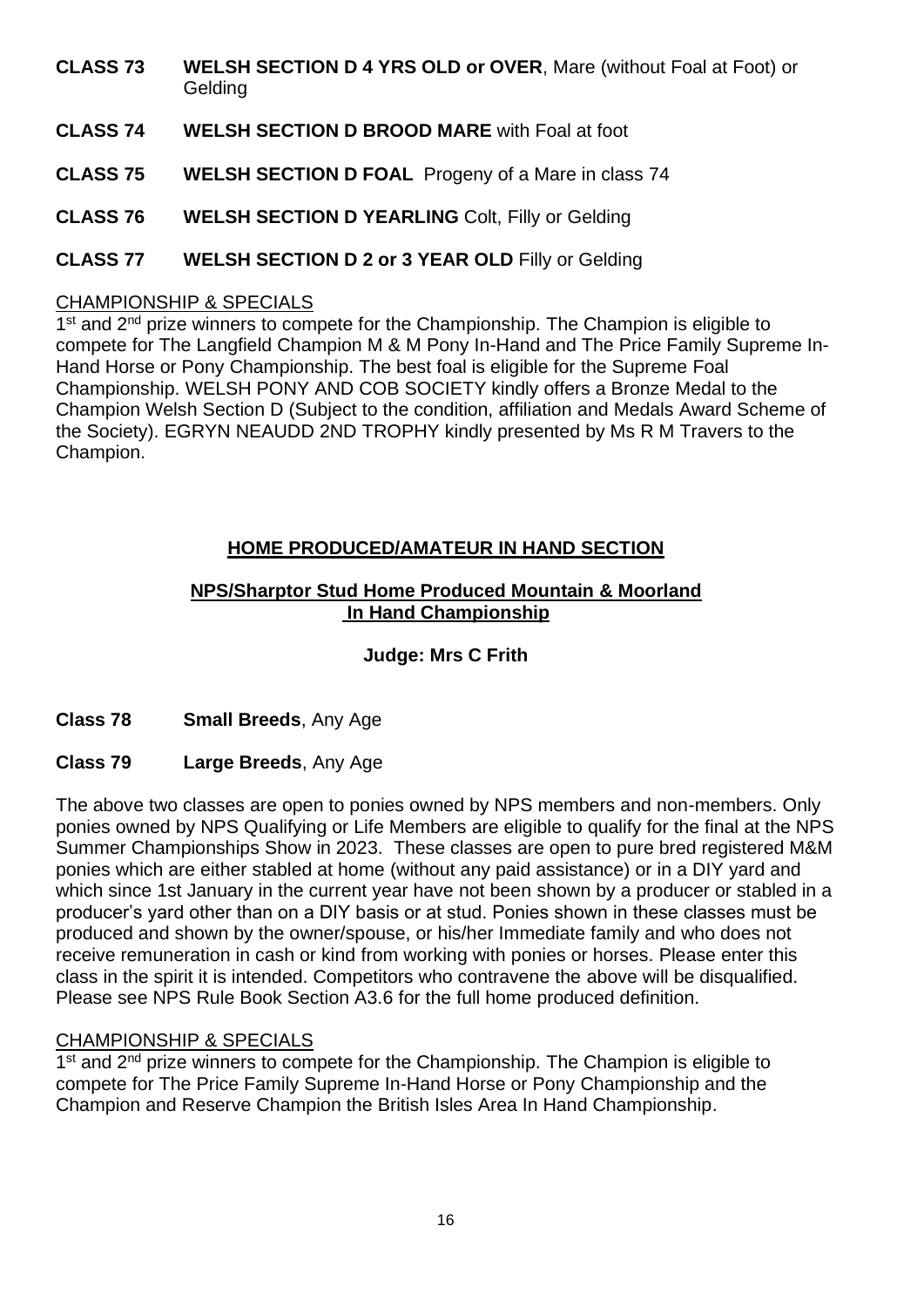- **CLASS 73 WELSH SECTION D 4 YRS OLD or OVER**, Mare (without Foal at Foot) or Gelding
- **CLASS 74 WELSH SECTION D BROOD MARE** with Foal at foot
- **CLASS 75 WELSH SECTION D FOAL** Progeny of a Mare in class 74
- **CLASS 76 WELSH SECTION D YEARLING** Colt, Filly or Gelding
- **CLASS 77 WELSH SECTION D 2 or 3 YEAR OLD** Filly or Gelding

#### CHAMPIONSHIP & SPECIALS

1<sup>st</sup> and 2<sup>nd</sup> prize winners to compete for the Championship. The Champion is eligible to compete for The Langfield Champion M & M Pony In-Hand and The Price Family Supreme In-Hand Horse or Pony Championship. The best foal is eligible for the Supreme Foal Championship. WELSH PONY AND COB SOCIETY kindly offers a Bronze Medal to the Champion Welsh Section D (Subject to the condition, affiliation and Medals Award Scheme of the Society). EGRYN NEAUDD 2ND TROPHY kindly presented by Ms R M Travers to the Champion.

# **HOME PRODUCED/AMATEUR IN HAND SECTION**

#### **NPS/Sharptor Stud Home Produced Mountain & Moorland In Hand Championship**

#### **Judge: Mrs C Frith**

#### **Class 78 Small Breeds**, Any Age

#### **Class 79 Large Breeds**, Any Age

The above two classes are open to ponies owned by NPS members and non-members. Only ponies owned by NPS Qualifying or Life Members are eligible to qualify for the final at the NPS Summer Championships Show in 2023. These classes are open to pure bred registered M&M ponies which are either stabled at home (without any paid assistance) or in a DIY yard and which since 1st January in the current year have not been shown by a producer or stabled in a producer's yard other than on a DIY basis or at stud. Ponies shown in these classes must be produced and shown by the owner/spouse, or his/her Immediate family and who does not receive remuneration in cash or kind from working with ponies or horses. Please enter this class in the spirit it is intended. Competitors who contravene the above will be disqualified. Please see NPS Rule Book Section A3.6 for the full home produced definition.

#### CHAMPIONSHIP & SPECIALS

1<sup>st</sup> and 2<sup>nd</sup> prize winners to compete for the Championship. The Champion is eligible to compete for The Price Family Supreme In-Hand Horse or Pony Championship and the Champion and Reserve Champion the British Isles Area In Hand Championship.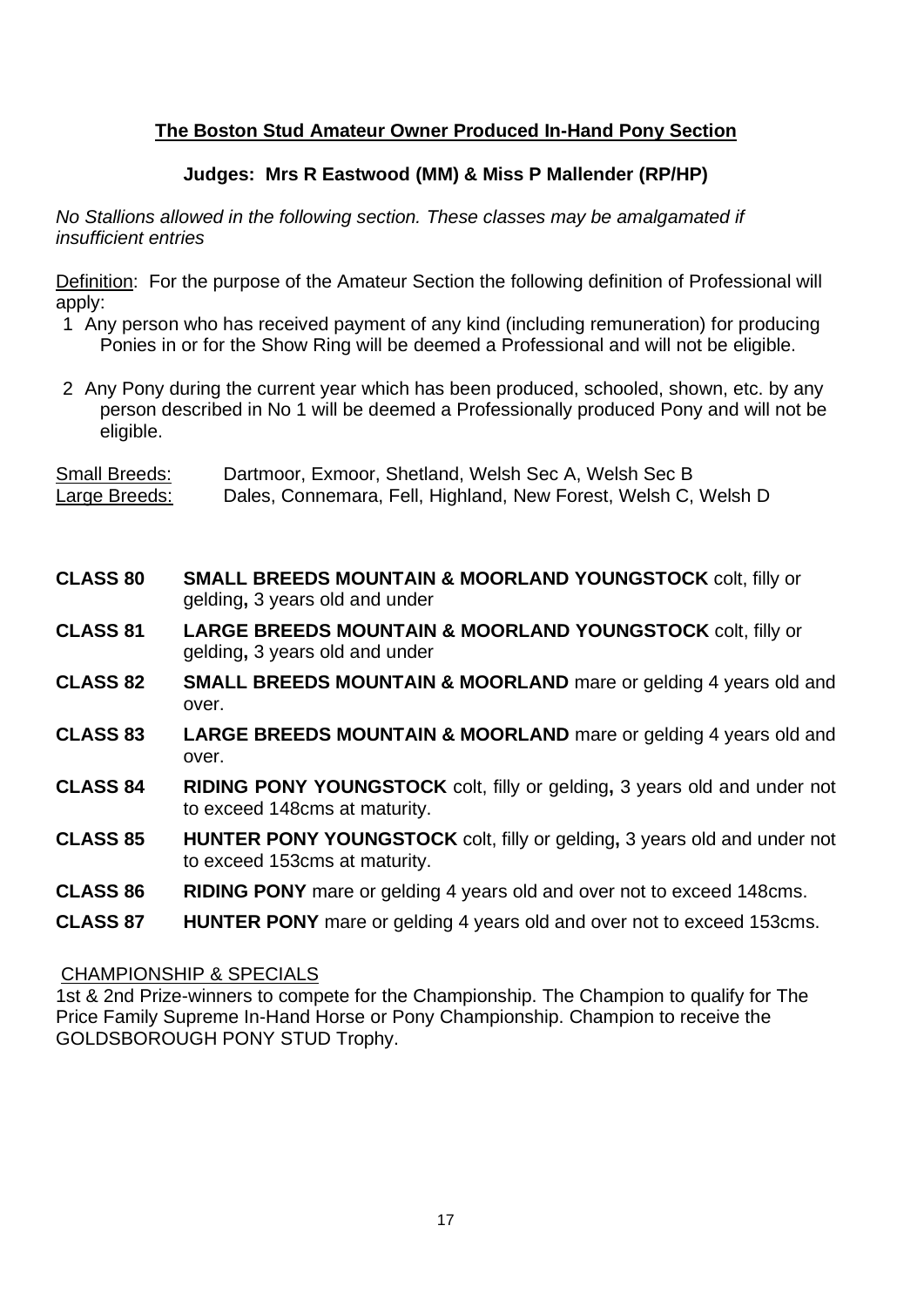## **The Boston Stud Amateur Owner Produced In-Hand Pony Section**

#### **Judges: Mrs R Eastwood (MM) & Miss P Mallender (RP/HP)**

*No Stallions allowed in the following section. These classes may be amalgamated if insufficient entries*

Definition: For the purpose of the Amateur Section the following definition of Professional will apply:

- 1 Any person who has received payment of any kind (including remuneration) for producing Ponies in or for the Show Ring will be deemed a Professional and will not be eligible.
- 2 Any Pony during the current year which has been produced, schooled, shown, etc. by any person described in No 1 will be deemed a Professionally produced Pony and will not be eligible.

Small Breeds: Dartmoor, Exmoor, Shetland, Welsh Sec A, Welsh Sec B Large Breeds: Dales, Connemara, Fell, Highland, New Forest, Welsh C, Welsh D

- **CLASS 80 SMALL BREEDS MOUNTAIN & MOORLAND YOUNGSTOCK** colt, filly or gelding**,** 3 years old and under
- **CLASS 81 LARGE BREEDS MOUNTAIN & MOORLAND YOUNGSTOCK** colt, filly or gelding**,** 3 years old and under
- **CLASS 82 SMALL BREEDS MOUNTAIN & MOORLAND** mare or gelding 4 years old and over.
- **CLASS 83 LARGE BREEDS MOUNTAIN & MOORLAND** mare or gelding 4 years old and over.
- **CLASS 84 RIDING PONY YOUNGSTOCK** colt, filly or gelding**,** 3 years old and under not to exceed 148cms at maturity.
- **CLASS 85 HUNTER PONY YOUNGSTOCK** colt, filly or gelding**,** 3 years old and under not to exceed 153cms at maturity.
- **CLASS 86 RIDING PONY** mare or gelding 4 years old and over not to exceed 148cms.
- **CLASS 87 HUNTER PONY** mare or gelding 4 years old and over not to exceed 153cms.

#### CHAMPIONSHIP & SPECIALS

1st & 2nd Prize-winners to compete for the Championship. The Champion to qualify for The Price Family Supreme In-Hand Horse or Pony Championship. Champion to receive the GOLDSBOROUGH PONY STUD Trophy.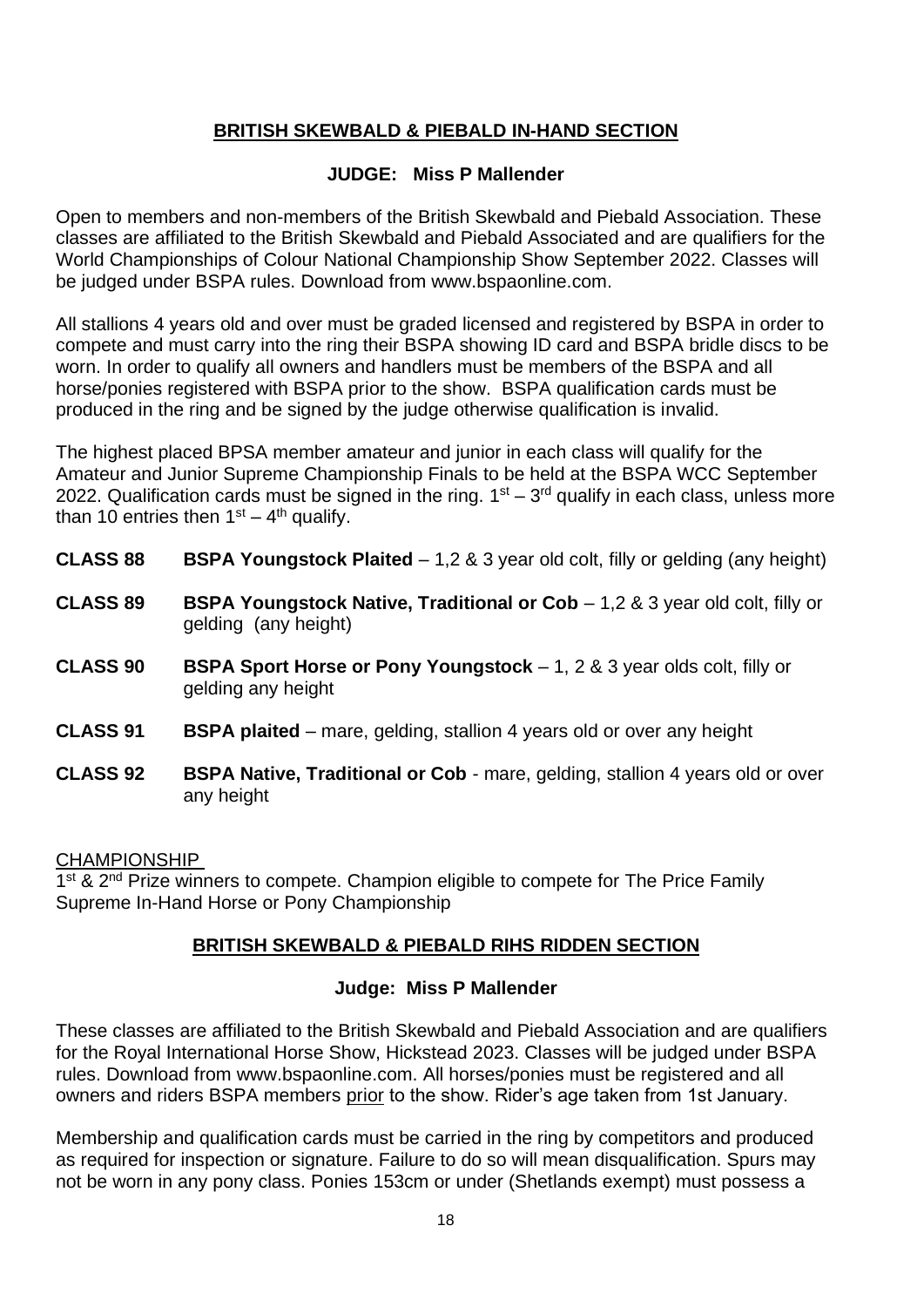## **BRITISH SKEWBALD & PIEBALD IN-HAND SECTION**

#### **JUDGE: Miss P Mallender**

Open to members and non-members of the British Skewbald and Piebald Association. These classes are affiliated to the British Skewbald and Piebald Associated and are qualifiers for the World Championships of Colour National Championship Show September 2022. Classes will be judged under BSPA rules. Download from www.bspaonline.com.

All stallions 4 years old and over must be graded licensed and registered by BSPA in order to compete and must carry into the ring their BSPA showing ID card and BSPA bridle discs to be worn. In order to qualify all owners and handlers must be members of the BSPA and all horse/ponies registered with BSPA prior to the show. BSPA qualification cards must be produced in the ring and be signed by the judge otherwise qualification is invalid.

The highest placed BPSA member amateur and junior in each class will qualify for the Amateur and Junior Supreme Championship Finals to be held at the BSPA WCC September 2022. Qualification cards must be signed in the ring.  $1<sup>st</sup> - 3<sup>rd</sup>$  qualify in each class, unless more than 10 entries then  $1<sup>st</sup> - 4<sup>th</sup>$  qualify.

- **CLASS 88 BSPA Youngstock Plaited**  1,2 & 3 year old colt, filly or gelding (any height)
- **CLASS 89 BSPA Youngstock Native, Traditional or Cob 1,2 & 3 year old colt, filly or** gelding (any height)
- **CLASS 90 BSPA Sport Horse or Pony Youngstock** 1, 2 & 3 year olds colt, filly or gelding any height
- **CLASS 91 BSPA plaited**  mare, gelding, stallion 4 years old or over any height
- **CLASS 92 BSPA Native, Traditional or Cob** mare, gelding, stallion 4 years old or over any height

#### CHAMPIONSHIP

1<sup>st</sup> & 2<sup>nd</sup> Prize winners to compete. Champion eligible to compete for The Price Family Supreme In-Hand Horse or Pony Championship

#### **BRITISH SKEWBALD & PIEBALD RIHS RIDDEN SECTION**

#### **Judge: Miss P Mallender**

These classes are affiliated to the British Skewbald and Piebald Association and are qualifiers for the Royal International Horse Show, Hickstead 2023. Classes will be judged under BSPA rules. Download from www.bspaonline.com. All horses/ponies must be registered and all owners and riders BSPA members prior to the show. Rider's age taken from 1st January.

Membership and qualification cards must be carried in the ring by competitors and produced as required for inspection or signature. Failure to do so will mean disqualification. Spurs may not be worn in any pony class. Ponies 153cm or under (Shetlands exempt) must possess a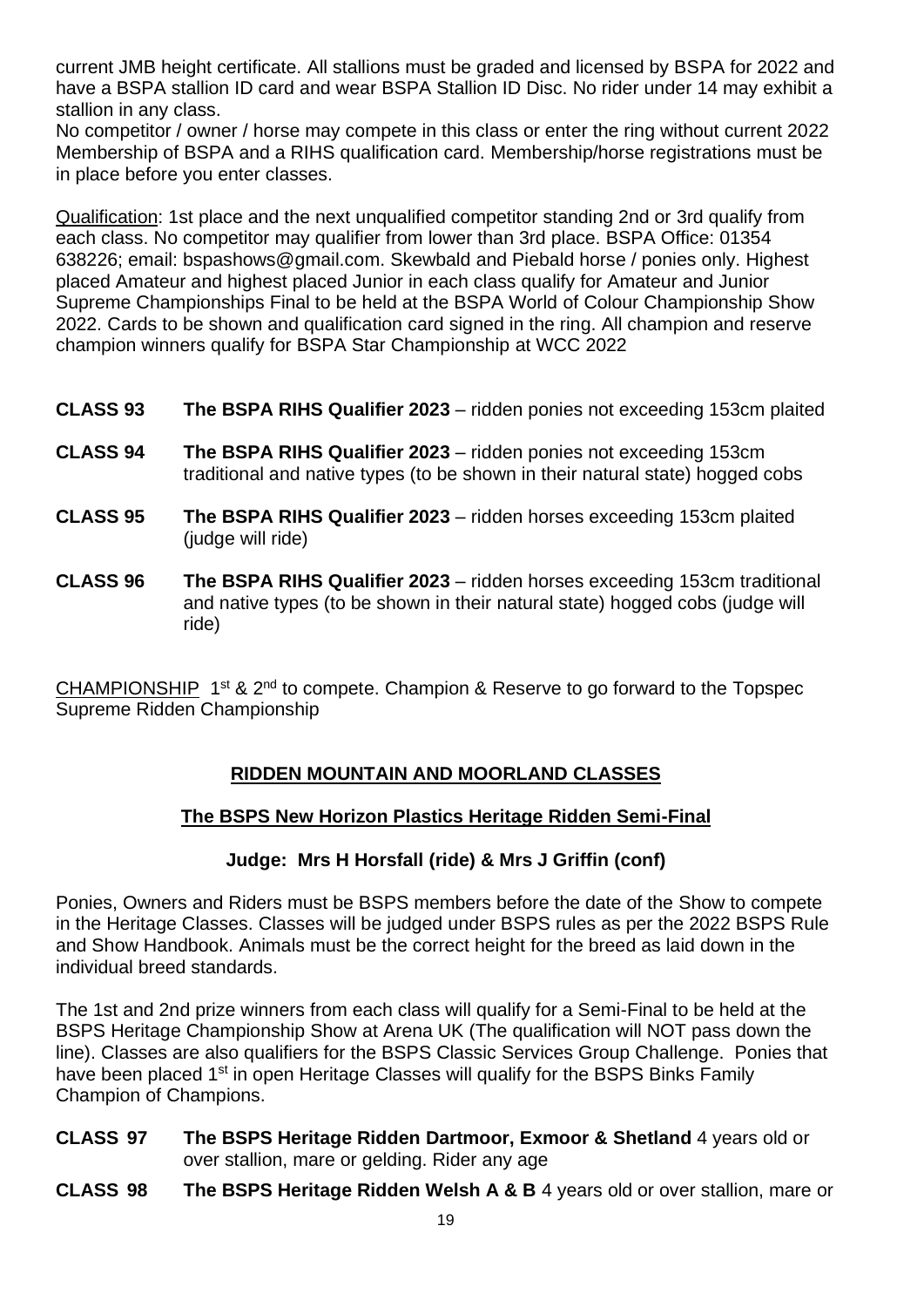current JMB height certificate. All stallions must be graded and licensed by BSPA for 2022 and have a BSPA stallion ID card and wear BSPA Stallion ID Disc. No rider under 14 may exhibit a stallion in any class.

No competitor / owner / horse may compete in this class or enter the ring without current 2022 Membership of BSPA and a RIHS qualification card. Membership/horse registrations must be in place before you enter classes.

Qualification: 1st place and the next unqualified competitor standing 2nd or 3rd qualify from each class. No competitor may qualifier from lower than 3rd place. BSPA Office: 01354 638226; email: bspashows@gmail.com. Skewbald and Piebald horse / ponies only. Highest placed Amateur and highest placed Junior in each class qualify for Amateur and Junior Supreme Championships Final to be held at the BSPA World of Colour Championship Show 2022. Cards to be shown and qualification card signed in the ring. All champion and reserve champion winners qualify for BSPA Star Championship at WCC 2022

- **CLASS 93 The BSPA RIHS Qualifier 2023** ridden ponies not exceeding 153cm plaited
- **CLASS 94 The BSPA RIHS Qualifier 2023** ridden ponies not exceeding 153cm traditional and native types (to be shown in their natural state) hogged cobs
- **CLASS 95 The BSPA RIHS Qualifier 2023** ridden horses exceeding 153cm plaited (judge will ride)
- **CLASS 96 The BSPA RIHS Qualifier 2023** ridden horses exceeding 153cm traditional and native types (to be shown in their natural state) hogged cobs (judge will ride)

CHAMPIONSHIP 1<sup>st</sup> & 2<sup>nd</sup> to compete. Champion & Reserve to go forward to the Topspec Supreme Ridden Championship

# **RIDDEN MOUNTAIN AND MOORLAND CLASSES**

# **The BSPS New Horizon Plastics Heritage Ridden Semi-Final**

#### **Judge: Mrs H Horsfall (ride) & Mrs J Griffin (conf)**

Ponies, Owners and Riders must be BSPS members before the date of the Show to compete in the Heritage Classes. Classes will be judged under BSPS rules as per the 2022 BSPS Rule and Show Handbook. Animals must be the correct height for the breed as laid down in the individual breed standards.

The 1st and 2nd prize winners from each class will qualify for a Semi-Final to be held at the BSPS Heritage Championship Show at Arena UK (The qualification will NOT pass down the line). Classes are also qualifiers for the BSPS Classic Services Group Challenge. Ponies that have been placed 1<sup>st</sup> in open Heritage Classes will qualify for the BSPS Binks Family Champion of Champions.

- **CLASS 97 The BSPS Heritage Ridden Dartmoor, Exmoor & Shetland** 4 years old or over stallion, mare or gelding. Rider any age
- **CLASS 98 The BSPS Heritage Ridden Welsh A & B** 4 years old or over stallion, mare or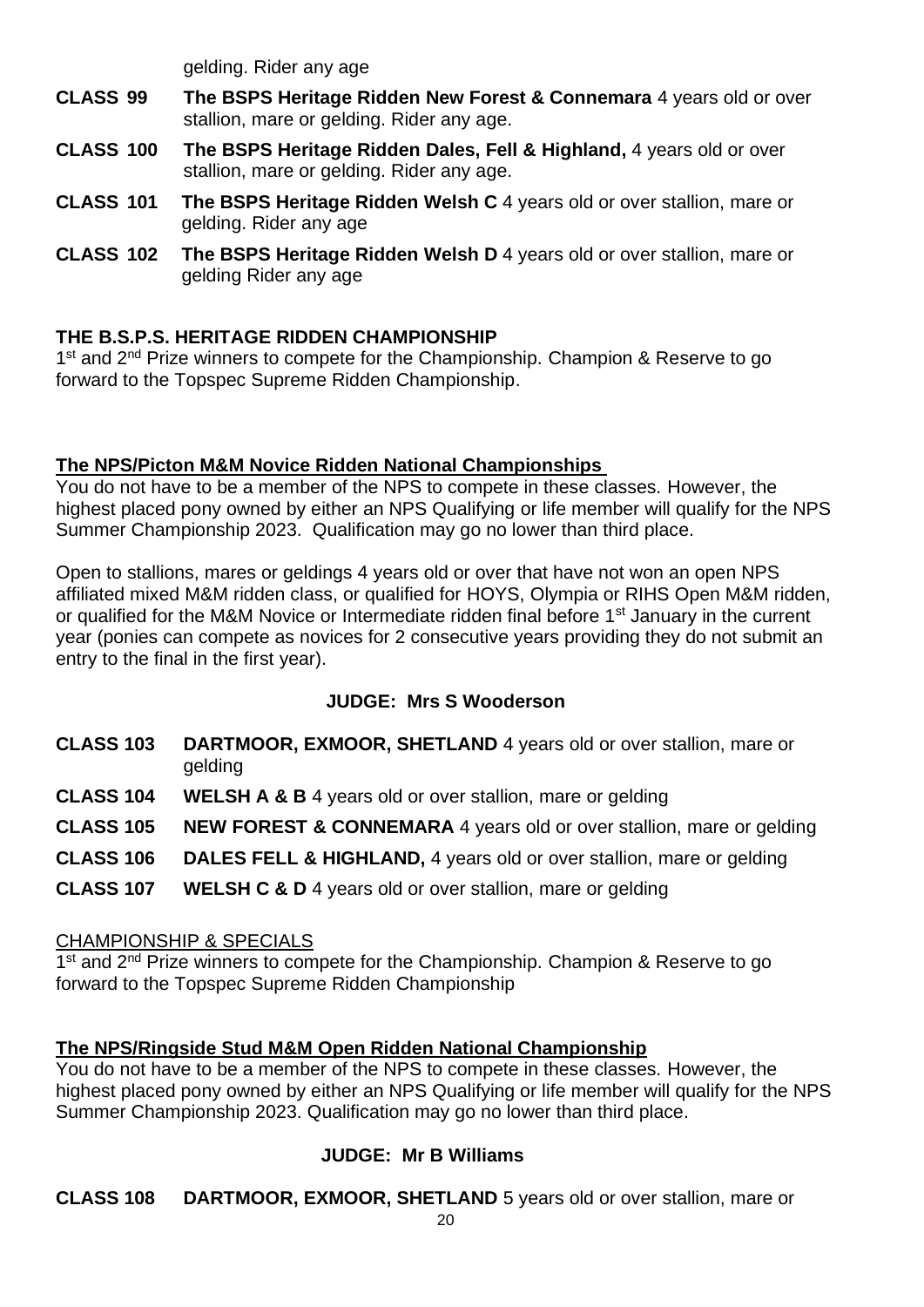gelding. Rider any age

- **CLASS 99 The BSPS Heritage Ridden New Forest & Connemara** 4 years old or over stallion, mare or gelding. Rider any age.
- **CLASS 100 The BSPS Heritage Ridden Dales, Fell & Highland,** 4 years old or over stallion, mare or gelding. Rider any age.
- **CLASS 101 The BSPS Heritage Ridden Welsh C** 4 years old or over stallion, mare or gelding. Rider any age
- **CLASS 102 The BSPS Heritage Ridden Welsh D** 4 years old or over stallion, mare or gelding Rider any age

# **THE B.S.P.S. HERITAGE RIDDEN CHAMPIONSHIP**

1<sup>st</sup> and 2<sup>nd</sup> Prize winners to compete for the Championship. Champion & Reserve to go forward to the Topspec Supreme Ridden Championship.

#### **The NPS/Picton M&M Novice Ridden National Championships**

You do not have to be a member of the NPS to compete in these classes. However, the highest placed pony owned by either an NPS Qualifying or life member will qualify for the NPS Summer Championship 2023. Qualification may go no lower than third place.

Open to stallions, mares or geldings 4 years old or over that have not won an open NPS affiliated mixed M&M ridden class, or qualified for HOYS, Olympia or RIHS Open M&M ridden, or qualified for the M&M Novice or Intermediate ridden final before 1<sup>st</sup> January in the current year (ponies can compete as novices for 2 consecutive years providing they do not submit an entry to the final in the first year).

# **JUDGE: Mrs S Wooderson**

- **CLASS 103 DARTMOOR, EXMOOR, SHETLAND** 4 years old or over stallion, mare or gelding
- **CLASS 104 WELSH A & B** 4 years old or over stallion, mare or gelding
- **CLASS 105 NEW FOREST & CONNEMARA** 4 years old or over stallion, mare or gelding
- **CLASS 106 DALES FELL & HIGHLAND,** 4 years old or over stallion, mare or gelding
- **CLASS 107 WELSH C & D** 4 years old or over stallion, mare or gelding

#### CHAMPIONSHIP & SPECIALS

1<sup>st</sup> and 2<sup>nd</sup> Prize winners to compete for the Championship. Champion & Reserve to go forward to the Topspec Supreme Ridden Championship

#### **The NPS/Ringside Stud M&M Open Ridden National Championship**

You do not have to be a member of the NPS to compete in these classes. However, the highest placed pony owned by either an NPS Qualifying or life member will qualify for the NPS Summer Championship 2023. Qualification may go no lower than third place.

# **JUDGE: Mr B Williams**

**CLASS 108 DARTMOOR, EXMOOR, SHETLAND** 5 years old or over stallion, mare or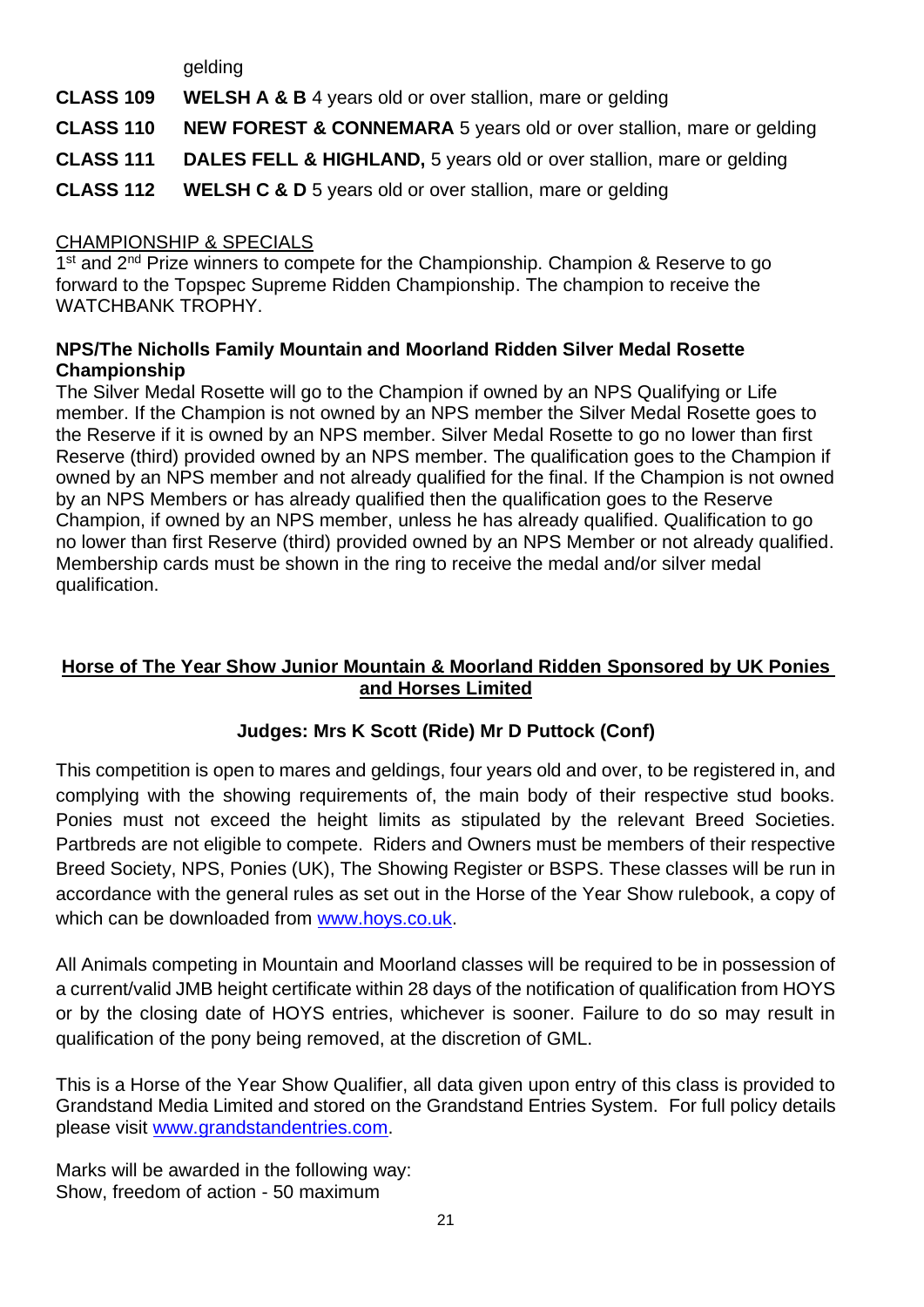gelding

**CLASS 109 WELSH A & B** 4 years old or over stallion, mare or gelding

**CLASS 110 NEW FOREST & CONNEMARA** 5 years old or over stallion, mare or gelding

**CLASS 111 DALES FELL & HIGHLAND,** 5 years old or over stallion, mare or gelding

**CLASS 112 WELSH C & D** 5 years old or over stallion, mare or gelding

#### CHAMPIONSHIP & SPECIALS

1<sup>st</sup> and 2<sup>nd</sup> Prize winners to compete for the Championship. Champion & Reserve to go forward to the Topspec Supreme Ridden Championship. The champion to receive the WATCHBANK TROPHY.

#### **NPS/The Nicholls Family Mountain and Moorland Ridden Silver Medal Rosette Championship**

The Silver Medal Rosette will go to the Champion if owned by an NPS Qualifying or Life member. If the Champion is not owned by an NPS member the Silver Medal Rosette goes to the Reserve if it is owned by an NPS member. Silver Medal Rosette to go no lower than first Reserve (third) provided owned by an NPS member. The qualification goes to the Champion if owned by an NPS member and not already qualified for the final. If the Champion is not owned by an NPS Members or has already qualified then the qualification goes to the Reserve Champion, if owned by an NPS member, unless he has already qualified. Qualification to go no lower than first Reserve (third) provided owned by an NPS Member or not already qualified. Membership cards must be shown in the ring to receive the medal and/or silver medal qualification.

### **Horse of The Year Show Junior Mountain & Moorland Ridden Sponsored by UK Ponies and Horses Limited**

# **Judges: Mrs K Scott (Ride) Mr D Puttock (Conf)**

This competition is open to mares and geldings, four years old and over, to be registered in, and complying with the showing requirements of, the main body of their respective stud books. Ponies must not exceed the height limits as stipulated by the relevant Breed Societies. Partbreds are not eligible to compete. Riders and Owners must be members of their respective Breed Society, NPS, Ponies (UK), The Showing Register or BSPS. These classes will be run in accordance with the general rules as set out in the Horse of the Year Show rulebook, a copy of which can be downloaded from [www.hoys.co.uk.](http://www.hoys.co.uk/)

All Animals competing in Mountain and Moorland classes will be required to be in possession of a current/valid JMB height certificate within 28 days of the notification of qualification from HOYS or by the closing date of HOYS entries, whichever is sooner. Failure to do so may result in qualification of the pony being removed, at the discretion of GML.

This is a Horse of the Year Show Qualifier, all data given upon entry of this class is provided to Grandstand Media Limited and stored on the Grandstand Entries System. For full policy details please visit [www.grandstandentries.com.](http://www.grandstandentries.com/)

Marks will be awarded in the following way: Show, freedom of action - 50 maximum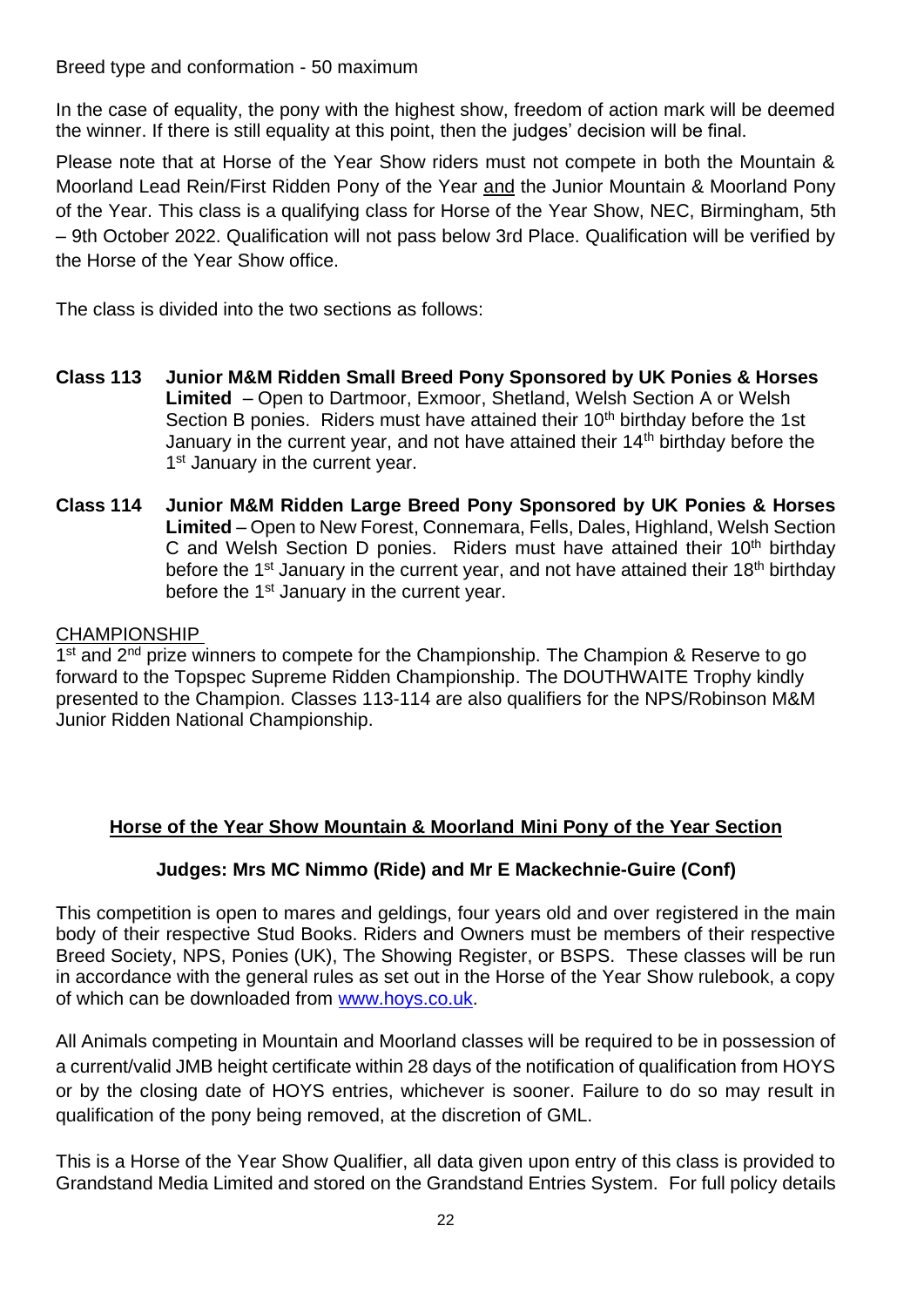Breed type and conformation - 50 maximum

In the case of equality, the pony with the highest show, freedom of action mark will be deemed the winner. If there is still equality at this point, then the judges' decision will be final.

Please note that at Horse of the Year Show riders must not compete in both the Mountain & Moorland Lead Rein/First Ridden Pony of the Year and the Junior Mountain & Moorland Pony of the Year. This class is a qualifying class for Horse of the Year Show, NEC, Birmingham, 5th – 9th October 2022. Qualification will not pass below 3rd Place. Qualification will be verified by the Horse of the Year Show office.

The class is divided into the two sections as follows:

- **Class 113 Junior M&M Ridden Small Breed Pony Sponsored by UK Ponies & Horses Limited** – Open to Dartmoor, Exmoor, Shetland, Welsh Section A or Welsh Section B ponies. Riders must have attained their 10<sup>th</sup> birthday before the 1st January in the current year, and not have attained their 14<sup>th</sup> birthday before the 1<sup>st</sup> January in the current year.
- **Class 114 Junior M&M Ridden Large Breed Pony Sponsored by UK Ponies & Horses Limited** – Open to New Forest, Connemara, Fells, Dales, Highland, Welsh Section C and Welsh Section D ponies. Riders must have attained their  $10<sup>th</sup>$  birthday before the 1<sup>st</sup> January in the current year, and not have attained their 18<sup>th</sup> birthday before the 1<sup>st</sup> January in the current year.

#### CHAMPIONSHIP

1<sup>st</sup> and 2<sup>nd</sup> prize winners to compete for the Championship. The Champion & Reserve to go forward to the Topspec Supreme Ridden Championship. The DOUTHWAITE Trophy kindly presented to the Champion. Classes 113-114 are also qualifiers for the NPS/Robinson M&M Junior Ridden National Championship.

#### **Horse of the Year Show Mountain & Moorland Mini Pony of the Year Section**

#### **Judges: Mrs MC Nimmo (Ride) and Mr E Mackechnie-Guire (Conf)**

This competition is open to mares and geldings, four years old and over registered in the main body of their respective Stud Books. Riders and Owners must be members of their respective Breed Society, NPS, Ponies (UK), The Showing Register, or BSPS. These classes will be run in accordance with the general rules as set out in the Horse of the Year Show rulebook, a copy of which can be downloaded from [www.hoys.co.uk.](http://www.hoys.co.uk/)

All Animals competing in Mountain and Moorland classes will be required to be in possession of a current/valid JMB height certificate within 28 days of the notification of qualification from HOYS or by the closing date of HOYS entries, whichever is sooner. Failure to do so may result in qualification of the pony being removed, at the discretion of GML.

This is a Horse of the Year Show Qualifier, all data given upon entry of this class is provided to Grandstand Media Limited and stored on the Grandstand Entries System. For full policy details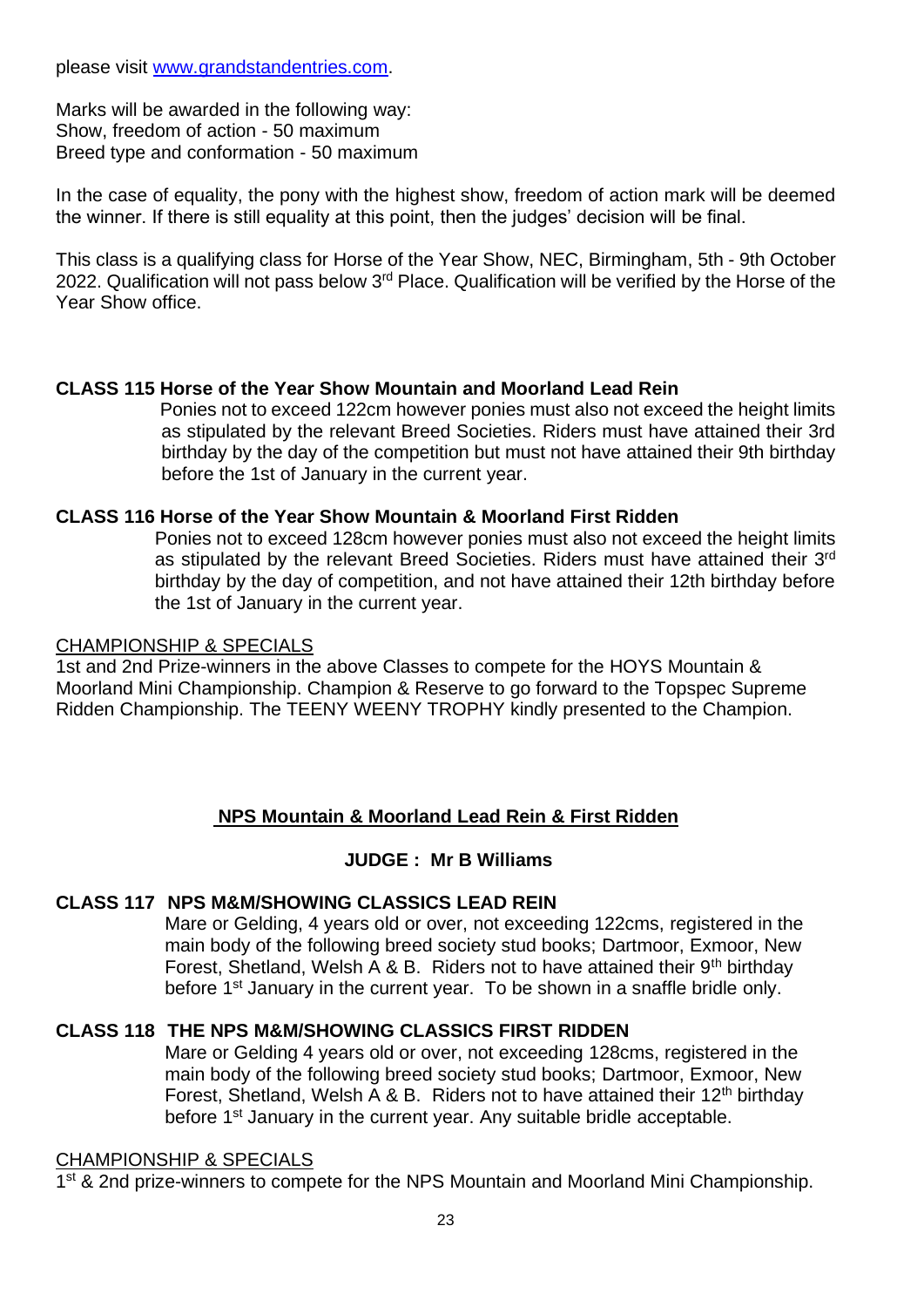please visit [www.grandstandentries.com.](http://www.grandstandentries.com/)

Marks will be awarded in the following way: Show, freedom of action - 50 maximum Breed type and conformation - 50 maximum

In the case of equality, the pony with the highest show, freedom of action mark will be deemed the winner. If there is still equality at this point, then the judges' decision will be final.

This class is a qualifying class for Horse of the Year Show, NEC, Birmingham, 5th - 9th October 2022. Qualification will not pass below 3<sup>rd</sup> Place. Qualification will be verified by the Horse of the Year Show office.

#### **CLASS 115 Horse of the Year Show Mountain and Moorland Lead Rein**

Ponies not to exceed 122cm however ponies must also not exceed the height limits as stipulated by the relevant Breed Societies. Riders must have attained their 3rd birthday by the day of the competition but must not have attained their 9th birthday before the 1st of January in the current year.

#### **CLASS 116 Horse of the Year Show Mountain & Moorland First Ridden**

Ponies not to exceed 128cm however ponies must also not exceed the height limits as stipulated by the relevant Breed Societies. Riders must have attained their 3rd birthday by the day of competition, and not have attained their 12th birthday before the 1st of January in the current year.

#### CHAMPIONSHIP & SPECIALS

1st and 2nd Prize-winners in the above Classes to compete for the HOYS Mountain & Moorland Mini Championship. Champion & Reserve to go forward to the Topspec Supreme Ridden Championship. The TEENY WEENY TROPHY kindly presented to the Champion.

#### **NPS Mountain & Moorland Lead Rein & First Ridden**

#### **JUDGE : Mr B Williams**

#### **CLASS 117 NPS M&M/SHOWING CLASSICS LEAD REIN**

Mare or Gelding, 4 years old or over, not exceeding 122cms, registered in the main body of the following breed society stud books; Dartmoor, Exmoor, New Forest, Shetland, Welsh A & B. Riders not to have attained their  $9<sup>th</sup>$  birthday before 1<sup>st</sup> January in the current year. To be shown in a snaffle bridle only.

#### **CLASS 118 THE NPS M&M/SHOWING CLASSICS FIRST RIDDEN**

Mare or Gelding 4 years old or over, not exceeding 128cms, registered in the main body of the following breed society stud books; Dartmoor, Exmoor, New Forest, Shetland, Welsh A & B. Riders not to have attained their  $12<sup>th</sup>$  birthday before 1<sup>st</sup> January in the current year. Any suitable bridle acceptable.

#### CHAMPIONSHIP & SPECIALS

1<sup>st</sup> & 2nd prize-winners to compete for the NPS Mountain and Moorland Mini Championship.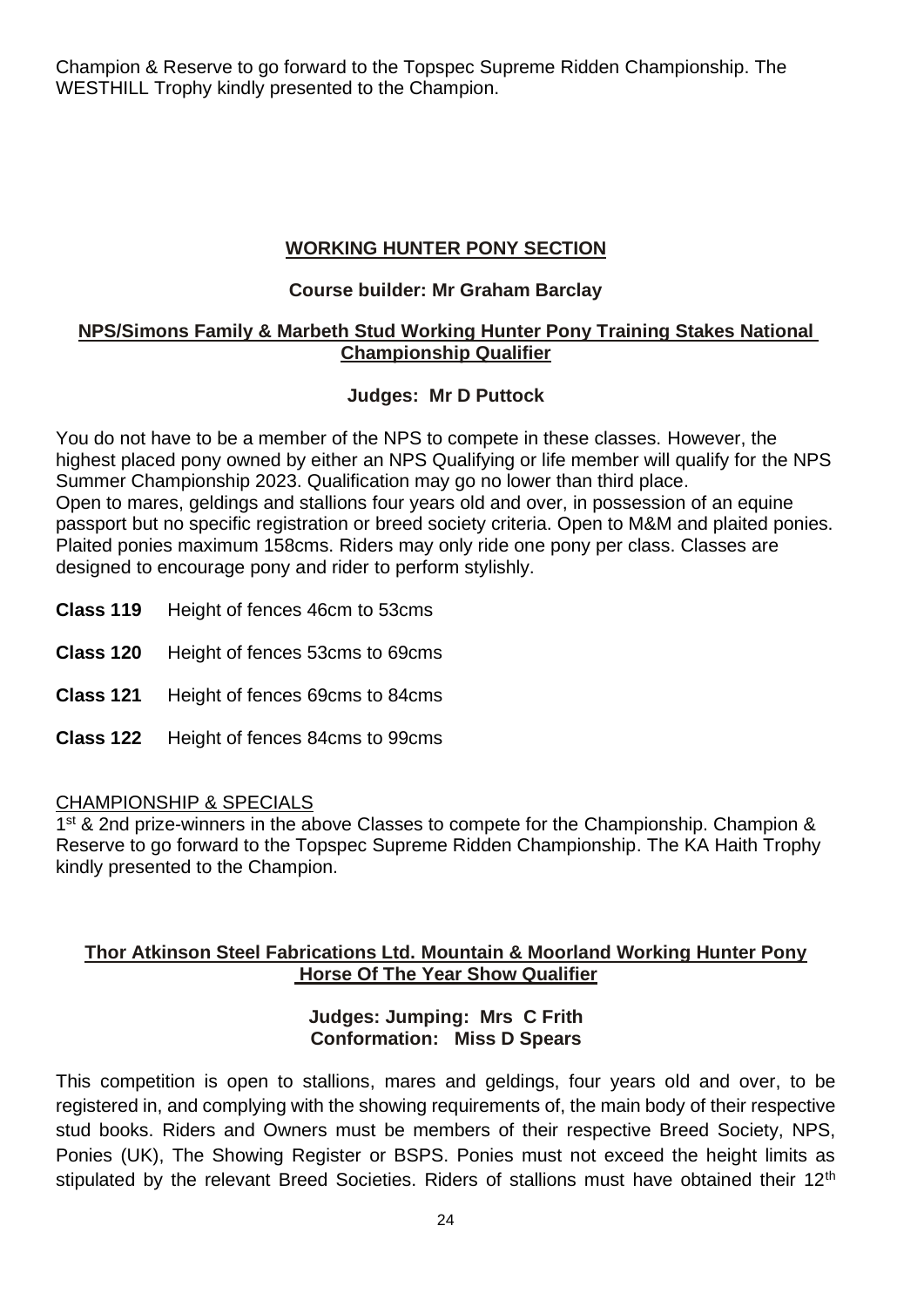Champion & Reserve to go forward to the Topspec Supreme Ridden Championship. The WESTHILL Trophy kindly presented to the Champion.

## **WORKING HUNTER PONY SECTION**

#### **Course builder: Mr Graham Barclay**

#### **NPS/Simons Family & Marbeth Stud Working Hunter Pony Training Stakes National Championship Qualifier**

### **Judges: Mr D Puttock**

You do not have to be a member of the NPS to compete in these classes. However, the highest placed pony owned by either an NPS Qualifying or life member will qualify for the NPS Summer Championship 2023. Qualification may go no lower than third place. Open to mares, geldings and stallions four years old and over, in possession of an equine passport but no specific registration or breed society criteria. Open to M&M and plaited ponies. Plaited ponies maximum 158cms. Riders may only ride one pony per class. Classes are designed to encourage pony and rider to perform stylishly.

- **Class 119** Height of fences 46cm to 53cms
- **Class 120** Height of fences 53cms to 69cms
- **Class 121** Height of fences 69cms to 84cms
- **Class 122** Height of fences 84cms to 99cms

#### CHAMPIONSHIP & SPECIALS

1<sup>st</sup> & 2nd prize-winners in the above Classes to compete for the Championship. Champion & Reserve to go forward to the Topspec Supreme Ridden Championship. The KA Haith Trophy kindly presented to the Champion.

#### **Thor Atkinson Steel Fabrications Ltd. Mountain & Moorland Working Hunter Pony Horse Of The Year Show Qualifier**

#### **Judges: Jumping: Mrs C Frith Conformation: Miss D Spears**

This competition is open to stallions, mares and geldings, four years old and over, to be registered in, and complying with the showing requirements of, the main body of their respective stud books. Riders and Owners must be members of their respective Breed Society, NPS, Ponies (UK), The Showing Register or BSPS. Ponies must not exceed the height limits as stipulated by the relevant Breed Societies. Riders of stallions must have obtained their 12<sup>th</sup>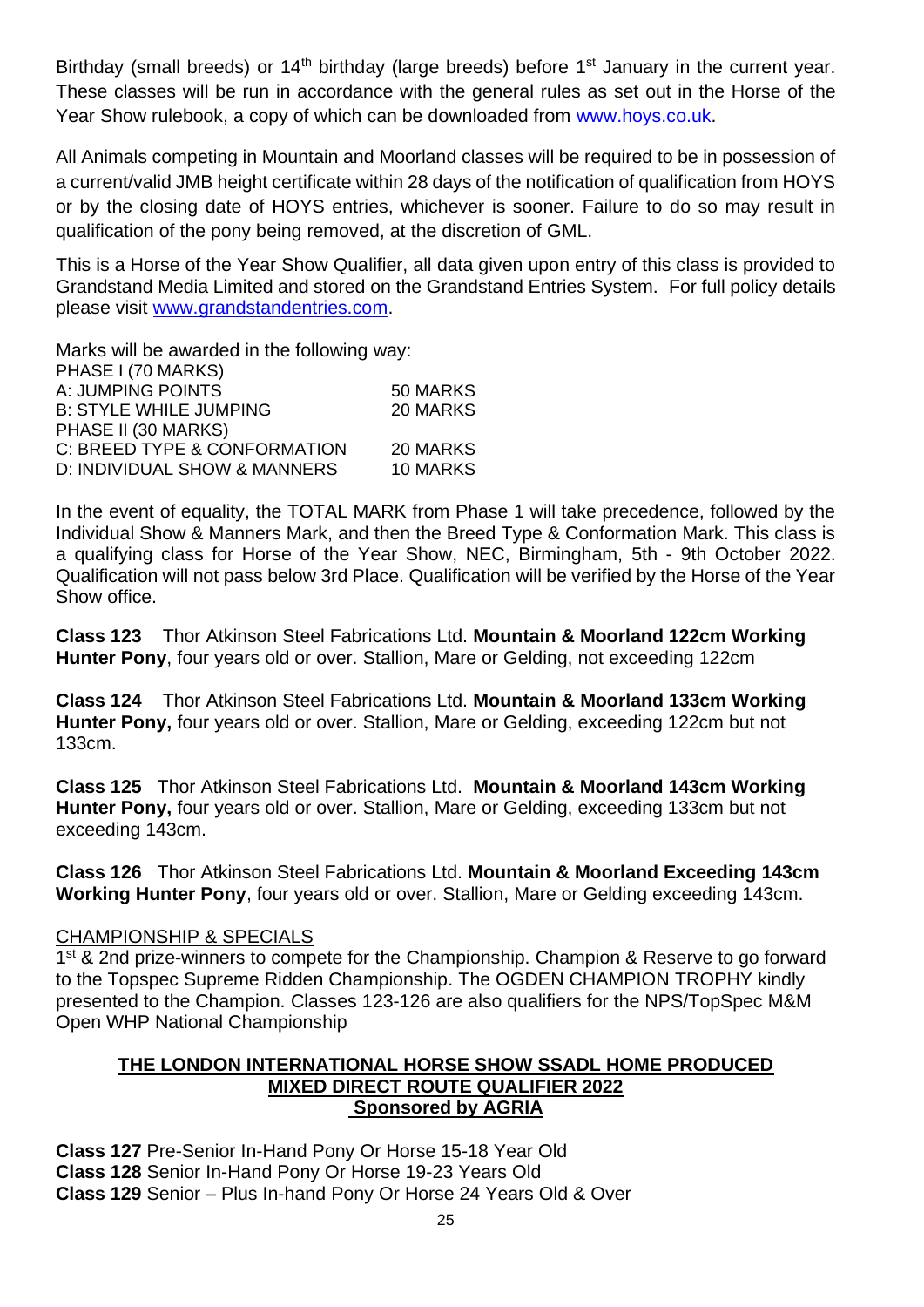Birthday (small breeds) or 14<sup>th</sup> birthday (large breeds) before 1<sup>st</sup> January in the current year. These classes will be run in accordance with the general rules as set out in the Horse of the Year Show rulebook, a copy of which can be downloaded from [www.hoys.co.uk.](http://www.hoys.co.uk/)

All Animals competing in Mountain and Moorland classes will be required to be in possession of a current/valid JMB height certificate within 28 days of the notification of qualification from HOYS or by the closing date of HOYS entries, whichever is sooner. Failure to do so may result in qualification of the pony being removed, at the discretion of GML.

This is a Horse of the Year Show Qualifier, all data given upon entry of this class is provided to Grandstand Media Limited and stored on the Grandstand Entries System. For full policy details please visit [www.grandstandentries.com.](http://www.grandstandentries.com/)

Marks will be awarded in the following way: PHASE I (70 MARKS) A: JUMPING POINTS 50 MARKS B: STYLE WHILE JUMPING 20 MARKS PHASE II (30 MARKS) C: BREED TYPE & CONFORMATION 20 MARKS D: INDIVIDUAL SHOW & MANNERS 10 MARKS

In the event of equality, the TOTAL MARK from Phase 1 will take precedence, followed by the Individual Show & Manners Mark, and then the Breed Type & Conformation Mark. This class is a qualifying class for Horse of the Year Show, NEC, Birmingham, 5th - 9th October 2022. Qualification will not pass below 3rd Place. Qualification will be verified by the Horse of the Year Show office.

**Class 123** Thor Atkinson Steel Fabrications Ltd. **Mountain & Moorland 122cm Working Hunter Pony**, four years old or over. Stallion, Mare or Gelding, not exceeding 122cm

**Class 124** Thor Atkinson Steel Fabrications Ltd. **Mountain & Moorland 133cm Working Hunter Pony,** four years old or over. Stallion, Mare or Gelding, exceeding 122cm but not 133cm.

**Class 125** Thor Atkinson Steel Fabrications Ltd. **Mountain & Moorland 143cm Working Hunter Pony,** four years old or over. Stallion, Mare or Gelding, exceeding 133cm but not exceeding 143cm.

**Class 126** Thor Atkinson Steel Fabrications Ltd. **Mountain & Moorland Exceeding 143cm Working Hunter Pony**, four years old or over. Stallion, Mare or Gelding exceeding 143cm.

#### CHAMPIONSHIP & SPECIALS

1<sup>st</sup> & 2nd prize-winners to compete for the Championship. Champion & Reserve to go forward to the Topspec Supreme Ridden Championship. The OGDEN CHAMPION TROPHY kindly presented to the Champion. Classes 123-126 are also qualifiers for the NPS/TopSpec M&M Open WHP National Championship

#### **THE LONDON INTERNATIONAL HORSE SHOW SSADL HOME PRODUCED MIXED DIRECT ROUTE QUALIFIER 2022 Sponsored by AGRIA**

**Class 127** Pre-Senior In-Hand Pony Or Horse 15-18 Year Old **Class 128** Senior In-Hand Pony Or Horse 19-23 Years Old **Class 129** Senior – Plus In-hand Pony Or Horse 24 Years Old & Over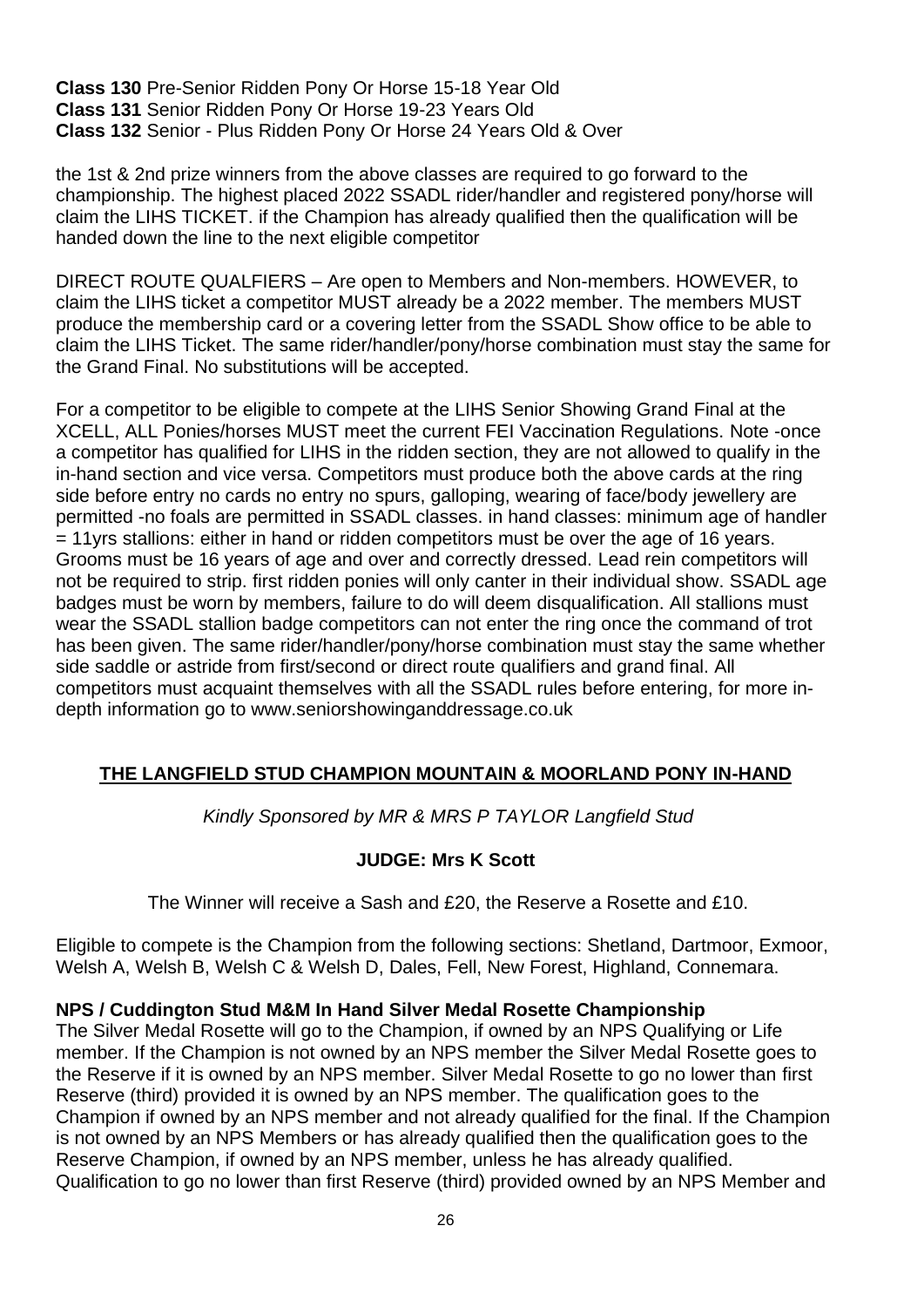**Class 130** Pre-Senior Ridden Pony Or Horse 15-18 Year Old **Class 131** Senior Ridden Pony Or Horse 19-23 Years Old **Class 132** Senior - Plus Ridden Pony Or Horse 24 Years Old & Over

the 1st & 2nd prize winners from the above classes are required to go forward to the championship. The highest placed 2022 SSADL rider/handler and registered pony/horse will claim the LIHS TICKET. if the Champion has already qualified then the qualification will be handed down the line to the next eligible competitor

DIRECT ROUTE QUALFIERS – Are open to Members and Non-members. HOWEVER, to claim the LIHS ticket a competitor MUST already be a 2022 member. The members MUST produce the membership card or a covering letter from the SSADL Show office to be able to claim the LIHS Ticket. The same rider/handler/pony/horse combination must stay the same for the Grand Final. No substitutions will be accepted.

For a competitor to be eligible to compete at the LIHS Senior Showing Grand Final at the XCELL, ALL Ponies/horses MUST meet the current FEI Vaccination Regulations. Note -once a competitor has qualified for LIHS in the ridden section, they are not allowed to qualify in the in-hand section and vice versa. Competitors must produce both the above cards at the ring side before entry no cards no entry no spurs, galloping, wearing of face/body jewellery are permitted -no foals are permitted in SSADL classes. in hand classes: minimum age of handler = 11yrs stallions: either in hand or ridden competitors must be over the age of 16 years. Grooms must be 16 years of age and over and correctly dressed. Lead rein competitors will not be required to strip. first ridden ponies will only canter in their individual show. SSADL age badges must be worn by members, failure to do will deem disqualification. All stallions must wear the SSADL stallion badge competitors can not enter the ring once the command of trot has been given. The same rider/handler/pony/horse combination must stay the same whether side saddle or astride from first/second or direct route qualifiers and grand final. All competitors must acquaint themselves with all the SSADL rules before entering, for more indepth information go to www.seniorshowinganddressage.co.uk

# **THE LANGFIELD STUD CHAMPION MOUNTAIN & MOORLAND PONY IN-HAND**

*Kindly Sponsored by MR & MRS P TAYLOR Langfield Stud*

#### **JUDGE: Mrs K Scott**

The Winner will receive a Sash and £20, the Reserve a Rosette and £10.

Eligible to compete is the Champion from the following sections: Shetland, Dartmoor, Exmoor, Welsh A, Welsh B, Welsh C & Welsh D, Dales, Fell, New Forest, Highland, Connemara.

#### **NPS / Cuddington Stud M&M In Hand Silver Medal Rosette Championship**

The Silver Medal Rosette will go to the Champion, if owned by an NPS Qualifying or Life member. If the Champion is not owned by an NPS member the Silver Medal Rosette goes to the Reserve if it is owned by an NPS member. Silver Medal Rosette to go no lower than first Reserve (third) provided it is owned by an NPS member. The qualification goes to the Champion if owned by an NPS member and not already qualified for the final. If the Champion is not owned by an NPS Members or has already qualified then the qualification goes to the Reserve Champion, if owned by an NPS member, unless he has already qualified. Qualification to go no lower than first Reserve (third) provided owned by an NPS Member and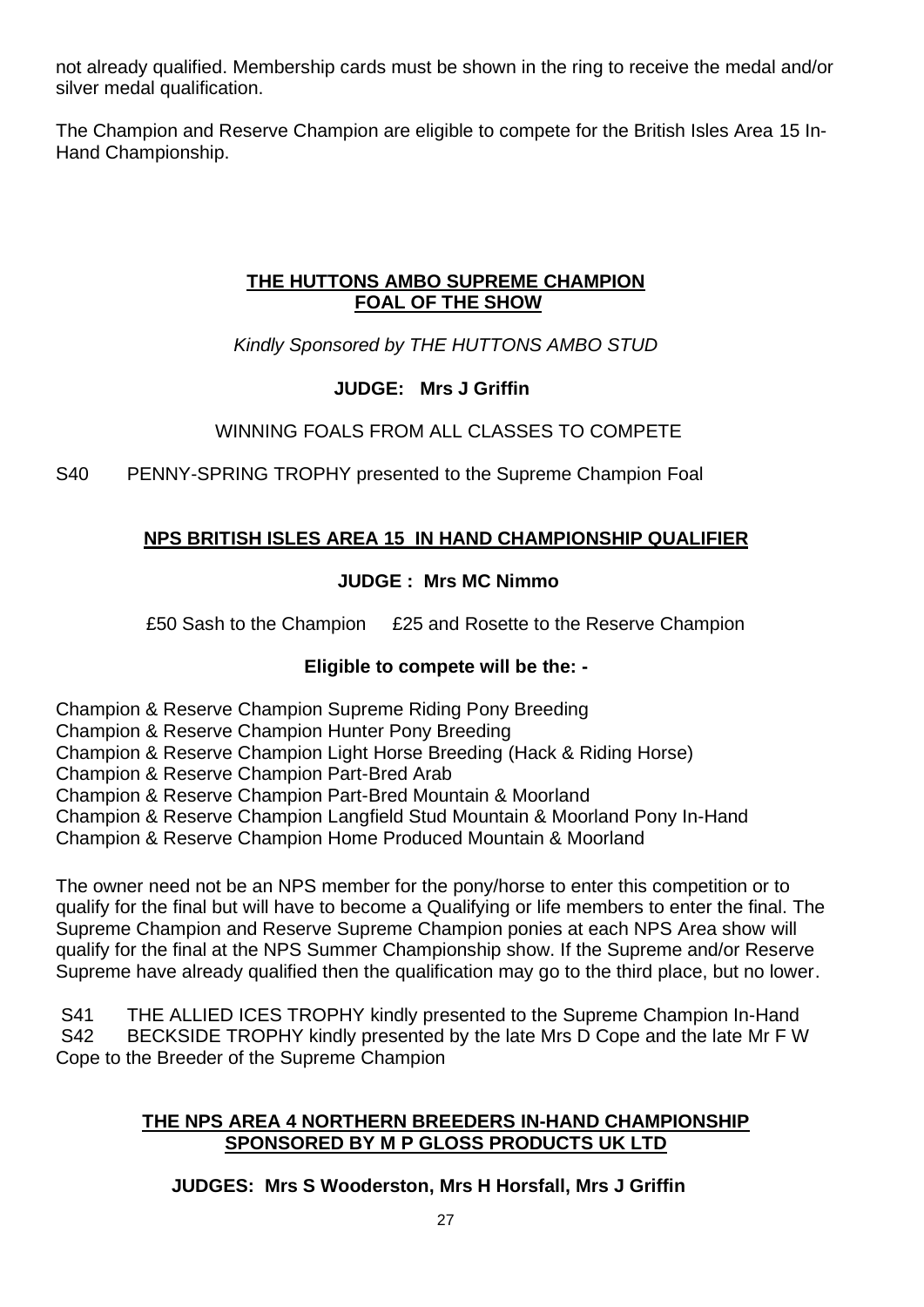not already qualified. Membership cards must be shown in the ring to receive the medal and/or silver medal qualification.

The Champion and Reserve Champion are eligible to compete for the British Isles Area 15 In-Hand Championship.

## **THE HUTTONS AMBO SUPREME CHAMPION FOAL OF THE SHOW**

*Kindly Sponsored by THE HUTTONS AMBO STUD*

# **JUDGE: Mrs J Griffin**

# WINNING FOALS FROM ALL CLASSES TO COMPETE

S40 PENNY-SPRING TROPHY presented to the Supreme Champion Foal

# **NPS BRITISH ISLES AREA 15 IN HAND CHAMPIONSHIP QUALIFIER**

# **JUDGE : Mrs MC Nimmo**

£50 Sash to the Champion £25 and Rosette to the Reserve Champion

# **Eligible to compete will be the: -**

Champion & Reserve Champion Supreme Riding Pony Breeding

Champion & Reserve Champion Hunter Pony Breeding

Champion & Reserve Champion Light Horse Breeding (Hack & Riding Horse)

Champion & Reserve Champion Part-Bred Arab

Champion & Reserve Champion Part-Bred Mountain & Moorland

Champion & Reserve Champion Langfield Stud Mountain & Moorland Pony In-Hand

Champion & Reserve Champion Home Produced Mountain & Moorland

The owner need not be an NPS member for the pony/horse to enter this competition or to qualify for the final but will have to become a Qualifying or life members to enter the final. The Supreme Champion and Reserve Supreme Champion ponies at each NPS Area show will qualify for the final at the NPS Summer Championship show. If the Supreme and/or Reserve Supreme have already qualified then the qualification may go to the third place, but no lower.

S41 THE ALLIED ICES TROPHY kindly presented to the Supreme Champion In-Hand S42 BECKSIDE TROPHY kindly presented by the late Mrs D Cope and the late Mr F W Cope to the Breeder of the Supreme Champion

### **THE NPS AREA 4 NORTHERN BREEDERS IN-HAND CHAMPIONSHIP SPONSORED BY M P GLOSS PRODUCTS UK LTD**

**JUDGES: Mrs S Wooderston, Mrs H Horsfall, Mrs J Griffin**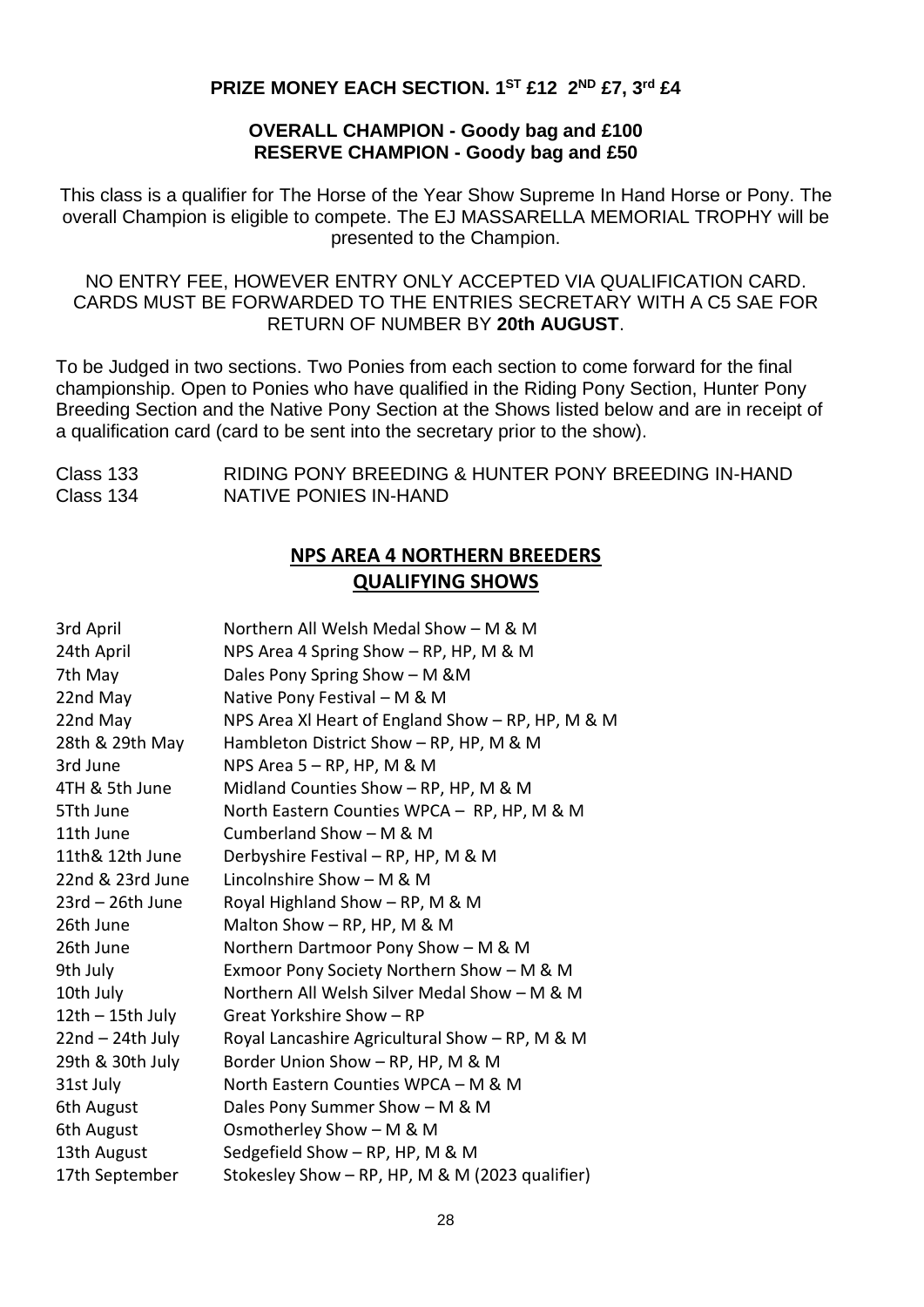#### **PRIZE MONEY EACH SECTION. 1ST £12 2 ND £7, 3rd £4**

#### **OVERALL CHAMPION - Goody bag and £100 RESERVE CHAMPION - Goody bag and £50**

This class is a qualifier for The Horse of the Year Show Supreme In Hand Horse or Pony. The overall Champion is eligible to compete. The EJ MASSARELLA MEMORIAL TROPHY will be presented to the Champion.

#### NO ENTRY FEE, HOWEVER ENTRY ONLY ACCEPTED VIA QUALIFICATION CARD. CARDS MUST BE FORWARDED TO THE ENTRIES SECRETARY WITH A C5 SAE FOR RETURN OF NUMBER BY **20th AUGUST**.

To be Judged in two sections. Two Ponies from each section to come forward for the final championship. Open to Ponies who have qualified in the Riding Pony Section, Hunter Pony Breeding Section and the Native Pony Section at the Shows listed below and are in receipt of a qualification card (card to be sent into the secretary prior to the show).

Class 133 RIDING PONY BREEDING & HUNTER PONY BREEDING IN-HAND Class 134 NATIVE PONIES IN-HAND

# **NPS AREA 4 NORTHERN BREEDERS QUALIFYING SHOWS**

| 3rd April          | Northern All Welsh Medal Show - M & M             |
|--------------------|---------------------------------------------------|
| 24th April         | NPS Area 4 Spring Show - RP, HP, M & M            |
| 7th May            | Dales Pony Spring Show - M & M                    |
| 22nd May           | Native Pony Festival - M & M                      |
| 22nd May           | NPS Area XI Heart of England Show - RP, HP, M & M |
| 28th & 29th May    | Hambleton District Show - RP, HP, M & M           |
| 3rd June           | NPS Area $5 - RP$ , HP, M & M                     |
| 4TH & 5th June     | Midland Counties Show - RP, HP, M & M             |
| 5Tth June          | North Eastern Counties WPCA - RP, HP, M & M       |
| 11th June          | Cumberland Show - M & M                           |
| 11th& 12th June    | Derbyshire Festival - RP, HP, M & M               |
| 22nd & 23rd June   | Lincolnshire Show - M & M                         |
| $23rd - 26th$ June | Royal Highland Show - RP, M & M                   |
| 26th June          | Malton Show - RP, HP, M & M                       |
| 26th June          | Northern Dartmoor Pony Show - M & M               |
| 9th July           | Exmoor Pony Society Northern Show - M & M         |
| 10th July          | Northern All Welsh Silver Medal Show - M & M      |
| $12th - 15th$ July | Great Yorkshire Show - RP                         |
| $22nd - 24th July$ | Royal Lancashire Agricultural Show - RP, M & M    |
| 29th & 30th July   | Border Union Show - RP, HP, M & M                 |
| 31st July          | North Eastern Counties WPCA - M & M               |
| 6th August         | Dales Pony Summer Show - M & M                    |
| 6th August         | Osmotherley Show - M & M                          |
| 13th August        | Sedgefield Show - RP, HP, M & M                   |
| 17th September     | Stokesley Show - RP, HP, M & M (2023 qualifier)   |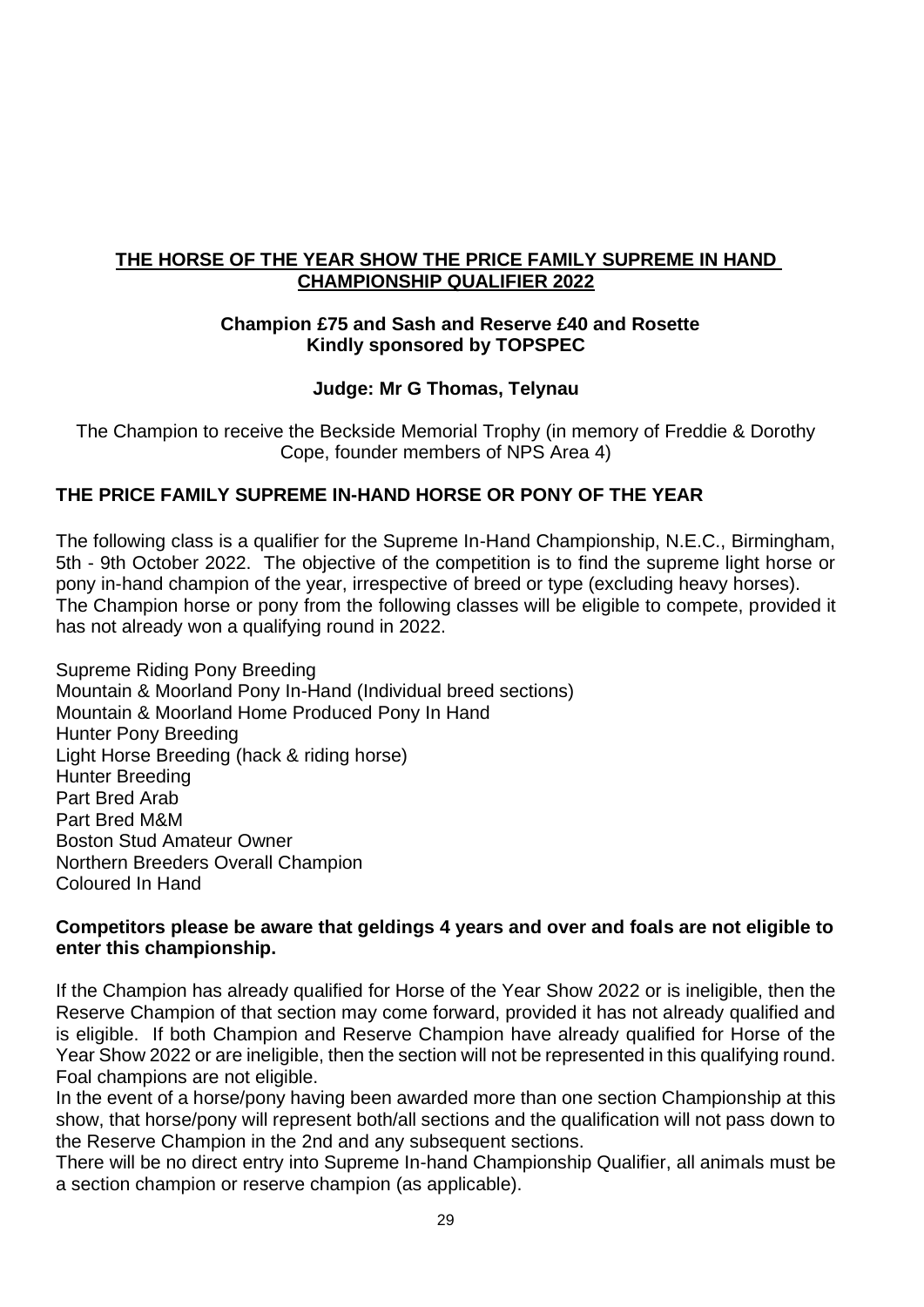#### **THE HORSE OF THE YEAR SHOW THE PRICE FAMILY SUPREME IN HAND CHAMPIONSHIP QUALIFIER 2022**

#### **Champion £75 and Sash and Reserve £40 and Rosette Kindly sponsored by TOPSPEC**

### **Judge: Mr G Thomas, Telynau**

The Champion to receive the Beckside Memorial Trophy (in memory of Freddie & Dorothy Cope, founder members of NPS Area 4)

# **THE PRICE FAMILY SUPREME IN-HAND HORSE OR PONY OF THE YEAR**

The following class is a qualifier for the Supreme In-Hand Championship, N.E.C., Birmingham, 5th - 9th October 2022. The objective of the competition is to find the supreme light horse or pony in-hand champion of the year, irrespective of breed or type (excluding heavy horses). The Champion horse or pony from the following classes will be eligible to compete, provided it has not already won a qualifying round in 2022.

Supreme Riding Pony Breeding Mountain & Moorland Pony In-Hand (Individual breed sections) Mountain & Moorland Home Produced Pony In Hand Hunter Pony Breeding Light Horse Breeding (hack & riding horse) Hunter Breeding Part Bred Arab Part Bred M&M Boston Stud Amateur Owner Northern Breeders Overall Champion Coloured In Hand

#### **Competitors please be aware that geldings 4 years and over and foals are not eligible to enter this championship.**

If the Champion has already qualified for Horse of the Year Show 2022 or is ineligible, then the Reserve Champion of that section may come forward, provided it has not already qualified and is eligible. If both Champion and Reserve Champion have already qualified for Horse of the Year Show 2022 or are ineligible, then the section will not be represented in this qualifying round. Foal champions are not eligible.

In the event of a horse/pony having been awarded more than one section Championship at this show, that horse/pony will represent both/all sections and the qualification will not pass down to the Reserve Champion in the 2nd and any subsequent sections.

There will be no direct entry into Supreme In-hand Championship Qualifier, all animals must be a section champion or reserve champion (as applicable).